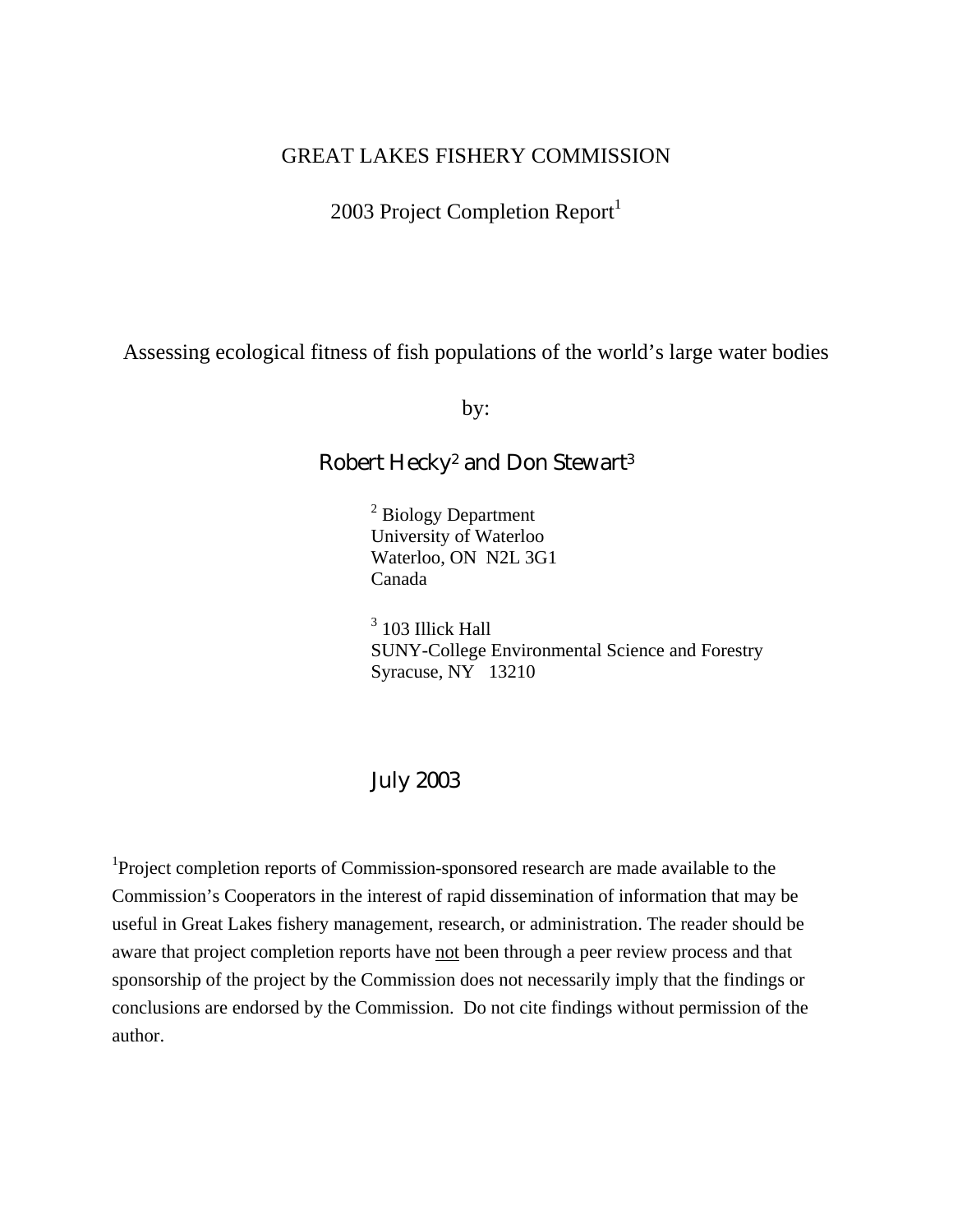# GREAT LAKES FISHERY COMMISSION

2003 Project Completion Report $<sup>1</sup>$ </sup>

Assessing ecological fitness of fish populations of the world's large water bodies

by:

# Robert Hecky2 and Don Stewart3

<sup>2</sup> Biology Department University of Waterloo Waterloo, ON N2L 3G1 Canada

<sup>3</sup> 103 Illick Hall SUNY-College Environmental Science and Forestry Syracuse, NY 13210

# July 2003

<sup>1</sup>Project completion reports of Commission-sponsored research are made available to the Commission's Cooperators in the interest of rapid dissemination of information that may be useful in Great Lakes fishery management, research, or administration. The reader should be aware that project completion reports have not been through a peer review process and that sponsorship of the project by the Commission does not necessarily imply that the findings or conclusions are endorsed by the Commission. Do not cite findings without permission of the author.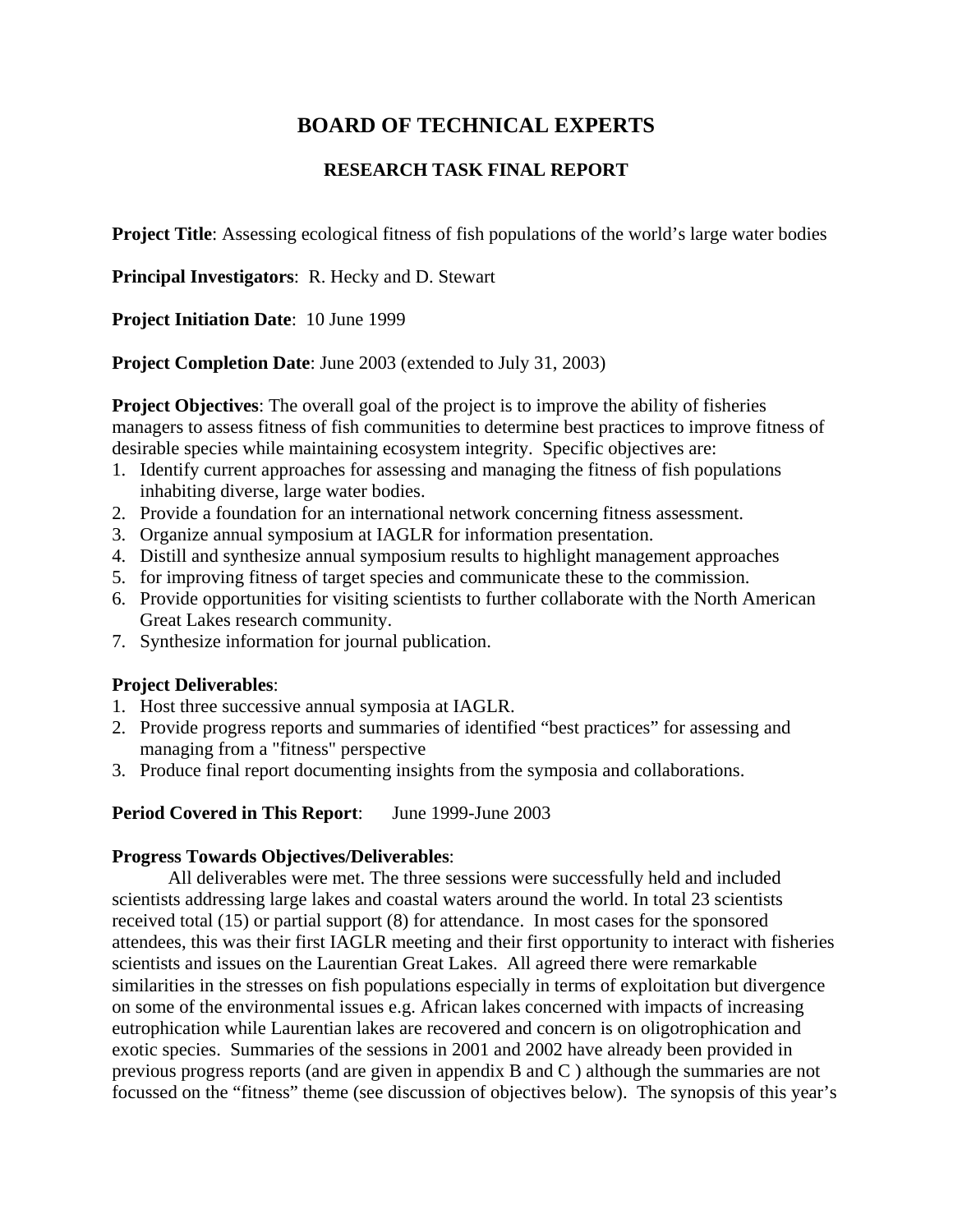# **BOARD OF TECHNICAL EXPERTS**

# **RESEARCH TASK FINAL REPORT**

**Project Title**: Assessing ecological fitness of fish populations of the world's large water bodies

**Principal Investigators**: R. Hecky and D. Stewart

**Project Initiation Date**: 10 June 1999

**Project Completion Date**: June 2003 (extended to July 31, 2003)

**Project Objectives:** The overall goal of the project is to improve the ability of fisheries managers to assess fitness of fish communities to determine best practices to improve fitness of desirable species while maintaining ecosystem integrity. Specific objectives are:

- 1. Identify current approaches for assessing and managing the fitness of fish populations inhabiting diverse, large water bodies.
- 2. Provide a foundation for an international network concerning fitness assessment.
- 3. Organize annual symposium at IAGLR for information presentation.
- 4. Distill and synthesize annual symposium results to highlight management approaches
- 5. for improving fitness of target species and communicate these to the commission.
- 6. Provide opportunities for visiting scientists to further collaborate with the North American Great Lakes research community.
- 7. Synthesize information for journal publication.

# **Project Deliverables**:

- 1. Host three successive annual symposia at IAGLR.
- 2. Provide progress reports and summaries of identified "best practices" for assessing and managing from a "fitness" perspective
- 3. Produce final report documenting insights from the symposia and collaborations.

# **Period Covered in This Report**: June 1999-June 2003

#### **Progress Towards Objectives/Deliverables**:

All deliverables were met. The three sessions were successfully held and included scientists addressing large lakes and coastal waters around the world. In total 23 scientists received total (15) or partial support (8) for attendance. In most cases for the sponsored attendees, this was their first IAGLR meeting and their first opportunity to interact with fisheries scientists and issues on the Laurentian Great Lakes. All agreed there were remarkable similarities in the stresses on fish populations especially in terms of exploitation but divergence on some of the environmental issues e.g. African lakes concerned with impacts of increasing eutrophication while Laurentian lakes are recovered and concern is on oligotrophication and exotic species. Summaries of the sessions in 2001 and 2002 have already been provided in previous progress reports (and are given in appendix B and C ) although the summaries are not focussed on the "fitness" theme (see discussion of objectives below). The synopsis of this year's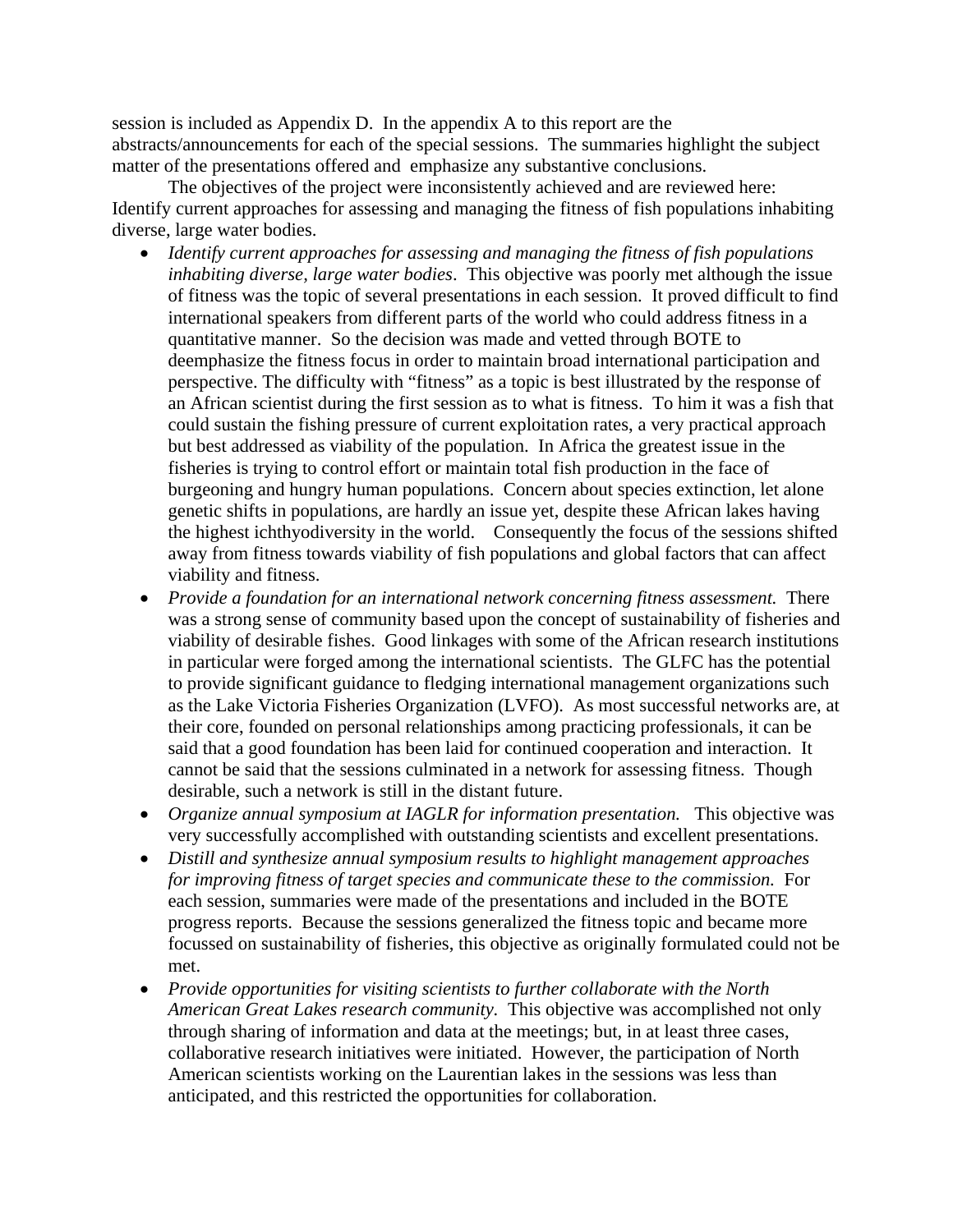session is included as Appendix D. In the appendix A to this report are the abstracts/announcements for each of the special sessions. The summaries highlight the subject matter of the presentations offered and emphasize any substantive conclusions.

The objectives of the project were inconsistently achieved and are reviewed here: Identify current approaches for assessing and managing the fitness of fish populations inhabiting diverse, large water bodies.

- *Identify current approaches for assessing and managing the fitness of fish populations inhabiting diverse, large water bodies*. This objective was poorly met although the issue of fitness was the topic of several presentations in each session. It proved difficult to find international speakers from different parts of the world who could address fitness in a quantitative manner. So the decision was made and vetted through BOTE to deemphasize the fitness focus in order to maintain broad international participation and perspective. The difficulty with "fitness" as a topic is best illustrated by the response of an African scientist during the first session as to what is fitness. To him it was a fish that could sustain the fishing pressure of current exploitation rates, a very practical approach but best addressed as viability of the population. In Africa the greatest issue in the fisheries is trying to control effort or maintain total fish production in the face of burgeoning and hungry human populations. Concern about species extinction, let alone genetic shifts in populations, are hardly an issue yet, despite these African lakes having the highest ichthyodiversity in the world. Consequently the focus of the sessions shifted away from fitness towards viability of fish populations and global factors that can affect viability and fitness.
- *Provide a foundation for an international network concerning fitness assessment.* There was a strong sense of community based upon the concept of sustainability of fisheries and viability of desirable fishes. Good linkages with some of the African research institutions in particular were forged among the international scientists. The GLFC has the potential to provide significant guidance to fledging international management organizations such as the Lake Victoria Fisheries Organization (LVFO). As most successful networks are, at their core, founded on personal relationships among practicing professionals, it can be said that a good foundation has been laid for continued cooperation and interaction. It cannot be said that the sessions culminated in a network for assessing fitness. Though desirable, such a network is still in the distant future.
- *Organize annual symposium at IAGLR for information presentation.* This objective was very successfully accomplished with outstanding scientists and excellent presentations.
- *Distill and synthesize annual symposium results to highlight management approaches for improving fitness of target species and communicate these to the commission.* For each session, summaries were made of the presentations and included in the BOTE progress reports. Because the sessions generalized the fitness topic and became more focussed on sustainability of fisheries, this objective as originally formulated could not be met.
- *Provide opportunities for visiting scientists to further collaborate with the North American Great Lakes research community.* This objective was accomplished not only through sharing of information and data at the meetings; but, in at least three cases, collaborative research initiatives were initiated. However, the participation of North American scientists working on the Laurentian lakes in the sessions was less than anticipated, and this restricted the opportunities for collaboration.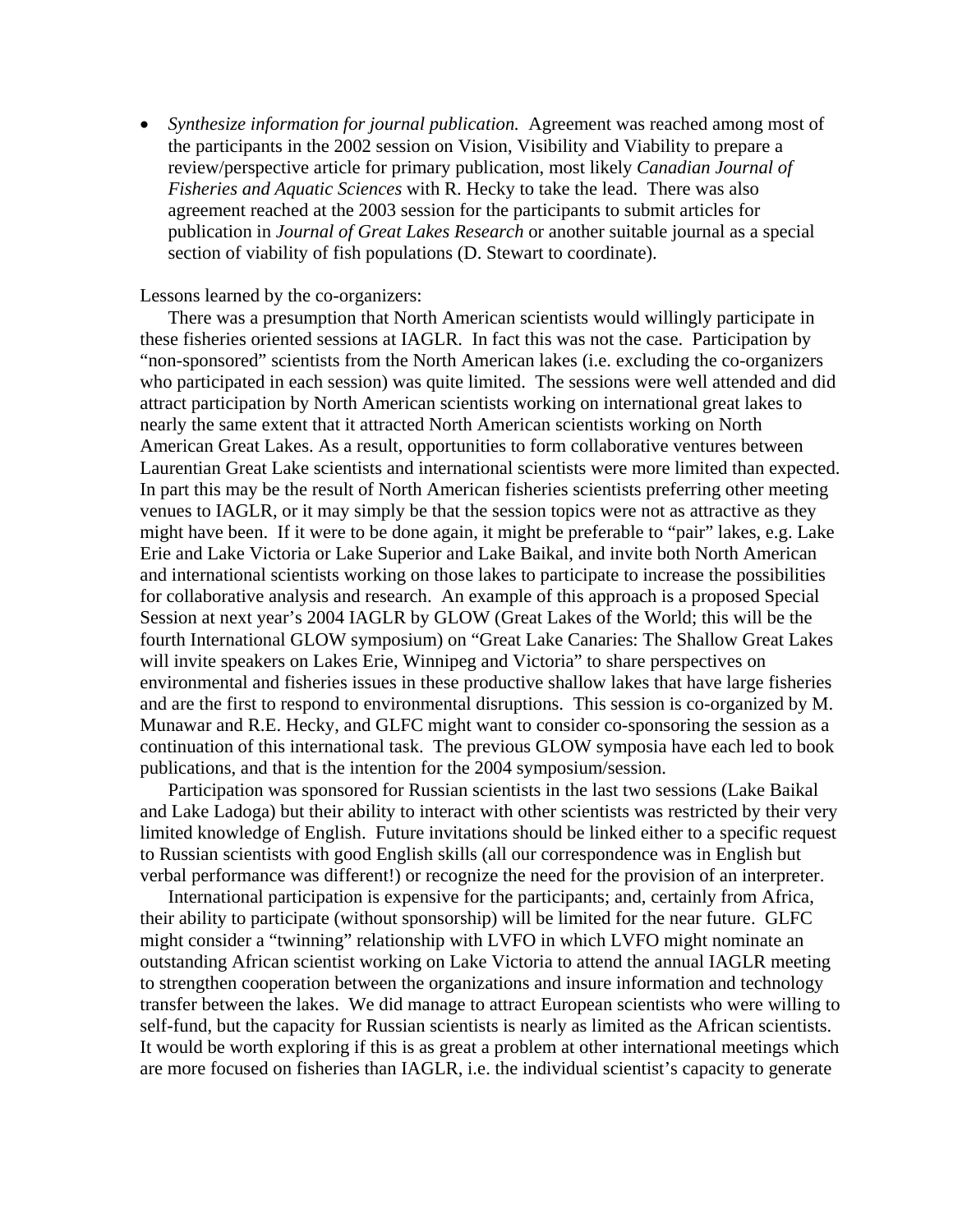• *Synthesize information for journal publication.* Agreement was reached among most of the participants in the 2002 session on Vision, Visibility and Viability to prepare a review/perspective article for primary publication, most likely *Canadian Journal of Fisheries and Aquatic Sciences* with R. Hecky to take the lead. There was also agreement reached at the 2003 session for the participants to submit articles for publication in *Journal of Great Lakes Research* or another suitable journal as a special section of viability of fish populations (D. Stewart to coordinate).

#### Lessons learned by the co-organizers:

 There was a presumption that North American scientists would willingly participate in these fisheries oriented sessions at IAGLR. In fact this was not the case. Participation by "non-sponsored" scientists from the North American lakes (i.e. excluding the co-organizers who participated in each session) was quite limited. The sessions were well attended and did attract participation by North American scientists working on international great lakes to nearly the same extent that it attracted North American scientists working on North American Great Lakes. As a result, opportunities to form collaborative ventures between Laurentian Great Lake scientists and international scientists were more limited than expected. In part this may be the result of North American fisheries scientists preferring other meeting venues to IAGLR, or it may simply be that the session topics were not as attractive as they might have been. If it were to be done again, it might be preferable to "pair" lakes, e.g. Lake Erie and Lake Victoria or Lake Superior and Lake Baikal, and invite both North American and international scientists working on those lakes to participate to increase the possibilities for collaborative analysis and research. An example of this approach is a proposed Special Session at next year's 2004 IAGLR by GLOW (Great Lakes of the World; this will be the fourth International GLOW symposium) on "Great Lake Canaries: The Shallow Great Lakes will invite speakers on Lakes Erie, Winnipeg and Victoria" to share perspectives on environmental and fisheries issues in these productive shallow lakes that have large fisheries and are the first to respond to environmental disruptions. This session is co-organized by M. Munawar and R.E. Hecky, and GLFC might want to consider co-sponsoring the session as a continuation of this international task. The previous GLOW symposia have each led to book publications, and that is the intention for the 2004 symposium/session.

 Participation was sponsored for Russian scientists in the last two sessions (Lake Baikal and Lake Ladoga) but their ability to interact with other scientists was restricted by their very limited knowledge of English. Future invitations should be linked either to a specific request to Russian scientists with good English skills (all our correspondence was in English but verbal performance was different!) or recognize the need for the provision of an interpreter.

 International participation is expensive for the participants; and, certainly from Africa, their ability to participate (without sponsorship) will be limited for the near future. GLFC might consider a "twinning" relationship with LVFO in which LVFO might nominate an outstanding African scientist working on Lake Victoria to attend the annual IAGLR meeting to strengthen cooperation between the organizations and insure information and technology transfer between the lakes. We did manage to attract European scientists who were willing to self-fund, but the capacity for Russian scientists is nearly as limited as the African scientists. It would be worth exploring if this is as great a problem at other international meetings which are more focused on fisheries than IAGLR, i.e. the individual scientist's capacity to generate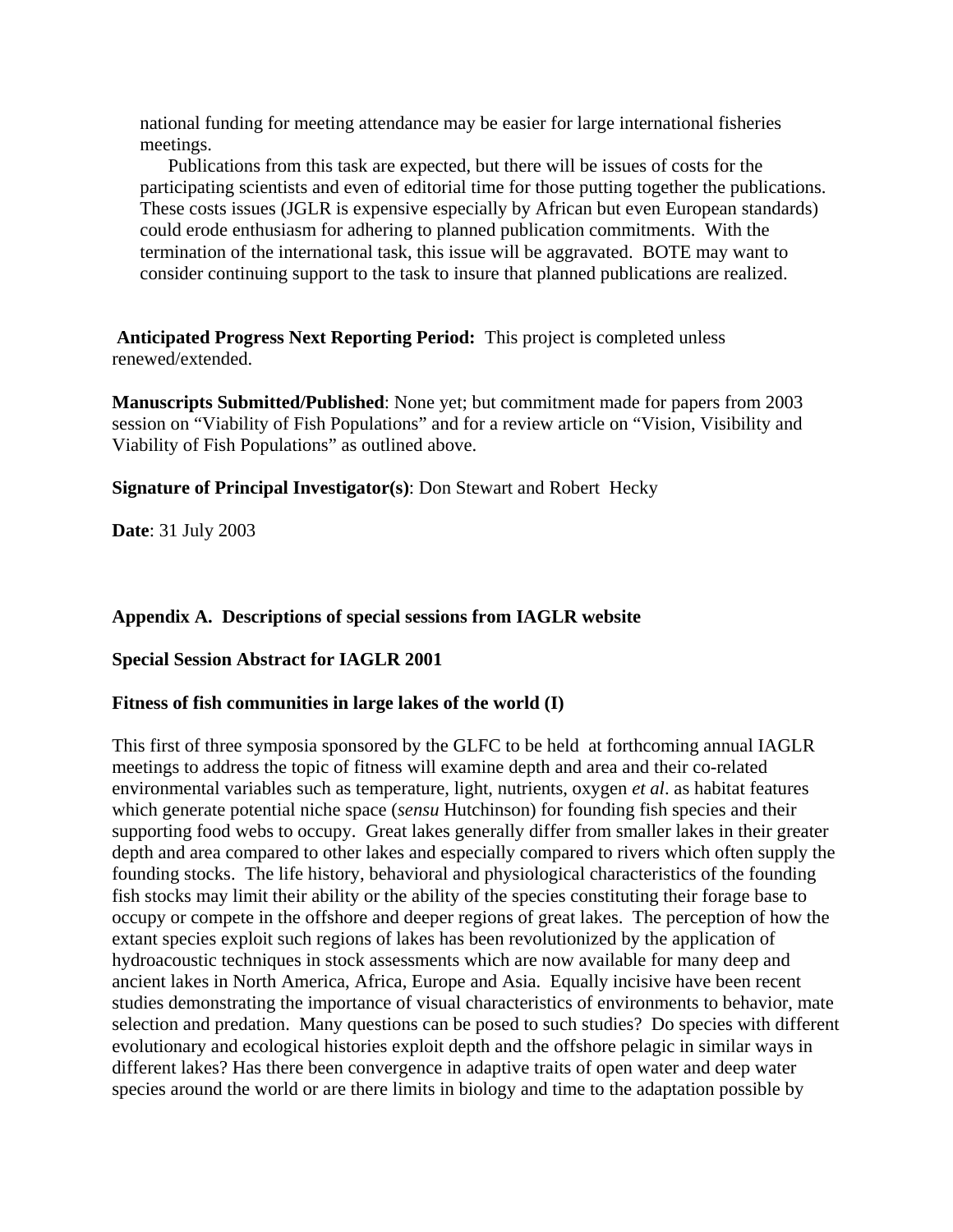national funding for meeting attendance may be easier for large international fisheries meetings.

 Publications from this task are expected, but there will be issues of costs for the participating scientists and even of editorial time for those putting together the publications. These costs issues (JGLR is expensive especially by African but even European standards) could erode enthusiasm for adhering to planned publication commitments. With the termination of the international task, this issue will be aggravated. BOTE may want to consider continuing support to the task to insure that planned publications are realized.

**Anticipated Progress Next Reporting Period:** This project is completed unless renewed/extended.

**Manuscripts Submitted/Published**: None yet; but commitment made for papers from 2003 session on "Viability of Fish Populations" and for a review article on "Vision, Visibility and Viability of Fish Populations" as outlined above.

**Signature of Principal Investigator(s)**: Don Stewart and Robert Hecky

**Date**: 31 July 2003

### **Appendix A. Descriptions of special sessions from IAGLR website**

#### **Special Session Abstract for IAGLR 2001**

#### **Fitness of fish communities in large lakes of the world (I)**

This first of three symposia sponsored by the GLFC to be held at forthcoming annual IAGLR meetings to address the topic of fitness will examine depth and area and their co-related environmental variables such as temperature, light, nutrients, oxygen *et al*. as habitat features which generate potential niche space (*sensu* Hutchinson) for founding fish species and their supporting food webs to occupy. Great lakes generally differ from smaller lakes in their greater depth and area compared to other lakes and especially compared to rivers which often supply the founding stocks. The life history, behavioral and physiological characteristics of the founding fish stocks may limit their ability or the ability of the species constituting their forage base to occupy or compete in the offshore and deeper regions of great lakes. The perception of how the extant species exploit such regions of lakes has been revolutionized by the application of hydroacoustic techniques in stock assessments which are now available for many deep and ancient lakes in North America, Africa, Europe and Asia. Equally incisive have been recent studies demonstrating the importance of visual characteristics of environments to behavior, mate selection and predation. Many questions can be posed to such studies? Do species with different evolutionary and ecological histories exploit depth and the offshore pelagic in similar ways in different lakes? Has there been convergence in adaptive traits of open water and deep water species around the world or are there limits in biology and time to the adaptation possible by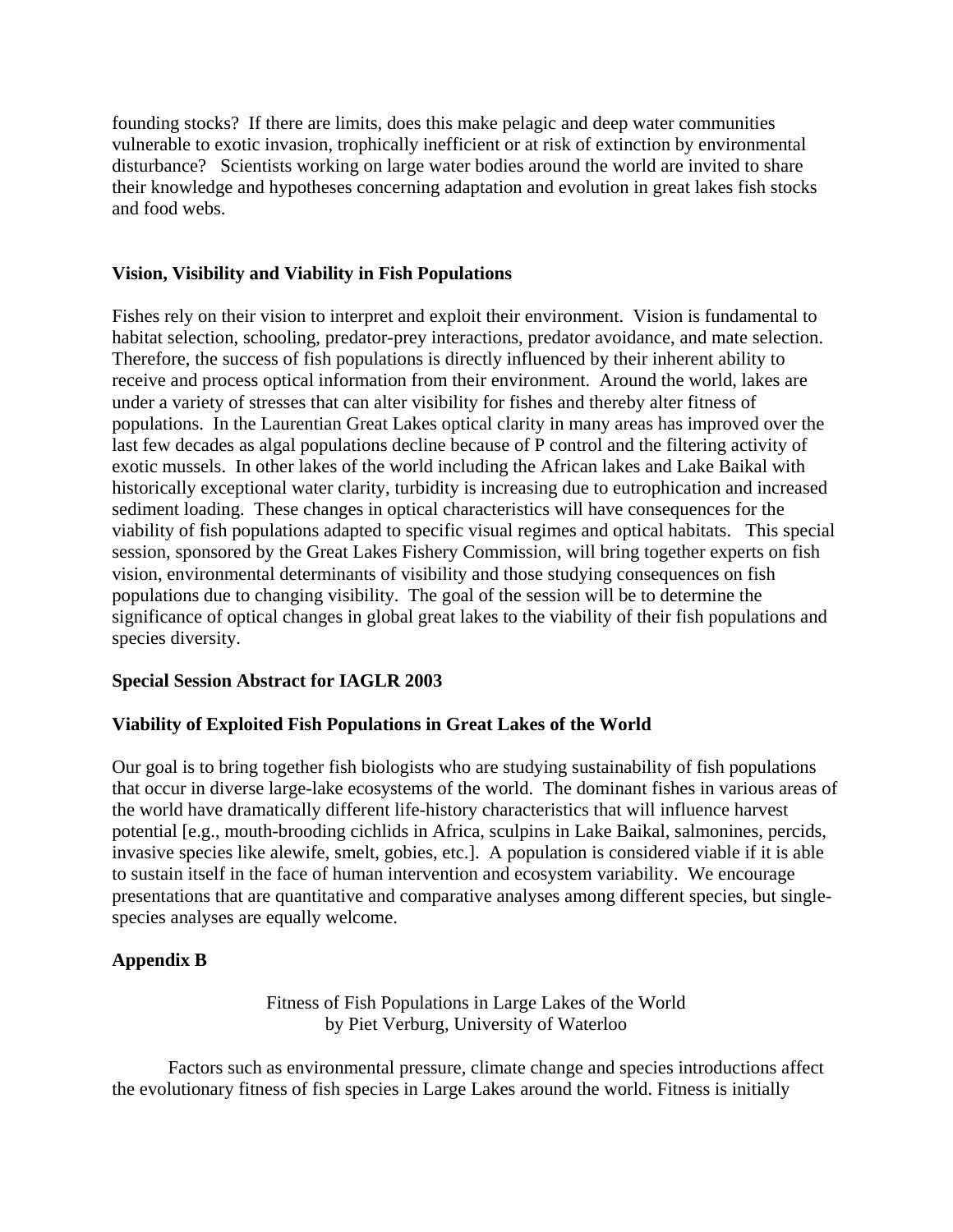founding stocks? If there are limits, does this make pelagic and deep water communities vulnerable to exotic invasion, trophically inefficient or at risk of extinction by environmental disturbance? Scientists working on large water bodies around the world are invited to share their knowledge and hypotheses concerning adaptation and evolution in great lakes fish stocks and food webs.

### **Vision, Visibility and Viability in Fish Populations**

Fishes rely on their vision to interpret and exploit their environment. Vision is fundamental to habitat selection, schooling, predator-prey interactions, predator avoidance, and mate selection. Therefore, the success of fish populations is directly influenced by their inherent ability to receive and process optical information from their environment. Around the world, lakes are under a variety of stresses that can alter visibility for fishes and thereby alter fitness of populations. In the Laurentian Great Lakes optical clarity in many areas has improved over the last few decades as algal populations decline because of P control and the filtering activity of exotic mussels. In other lakes of the world including the African lakes and Lake Baikal with historically exceptional water clarity, turbidity is increasing due to eutrophication and increased sediment loading. These changes in optical characteristics will have consequences for the viability of fish populations adapted to specific visual regimes and optical habitats. This special session, sponsored by the Great Lakes Fishery Commission, will bring together experts on fish vision, environmental determinants of visibility and those studying consequences on fish populations due to changing visibility. The goal of the session will be to determine the significance of optical changes in global great lakes to the viability of their fish populations and species diversity.

#### **Special Session Abstract for IAGLR 2003**

# **Viability of Exploited Fish Populations in Great Lakes of the World**

Our goal is to bring together fish biologists who are studying sustainability of fish populations that occur in diverse large-lake ecosystems of the world. The dominant fishes in various areas of the world have dramatically different life-history characteristics that will influence harvest potential [e.g., mouth-brooding cichlids in Africa, sculpins in Lake Baikal, salmonines, percids, invasive species like alewife, smelt, gobies, etc.]. A population is considered viable if it is able to sustain itself in the face of human intervention and ecosystem variability. We encourage presentations that are quantitative and comparative analyses among different species, but singlespecies analyses are equally welcome.

# **Appendix B**

Fitness of Fish Populations in Large Lakes of the World by Piet Verburg, University of Waterloo

Factors such as environmental pressure, climate change and species introductions affect the evolutionary fitness of fish species in Large Lakes around the world. Fitness is initially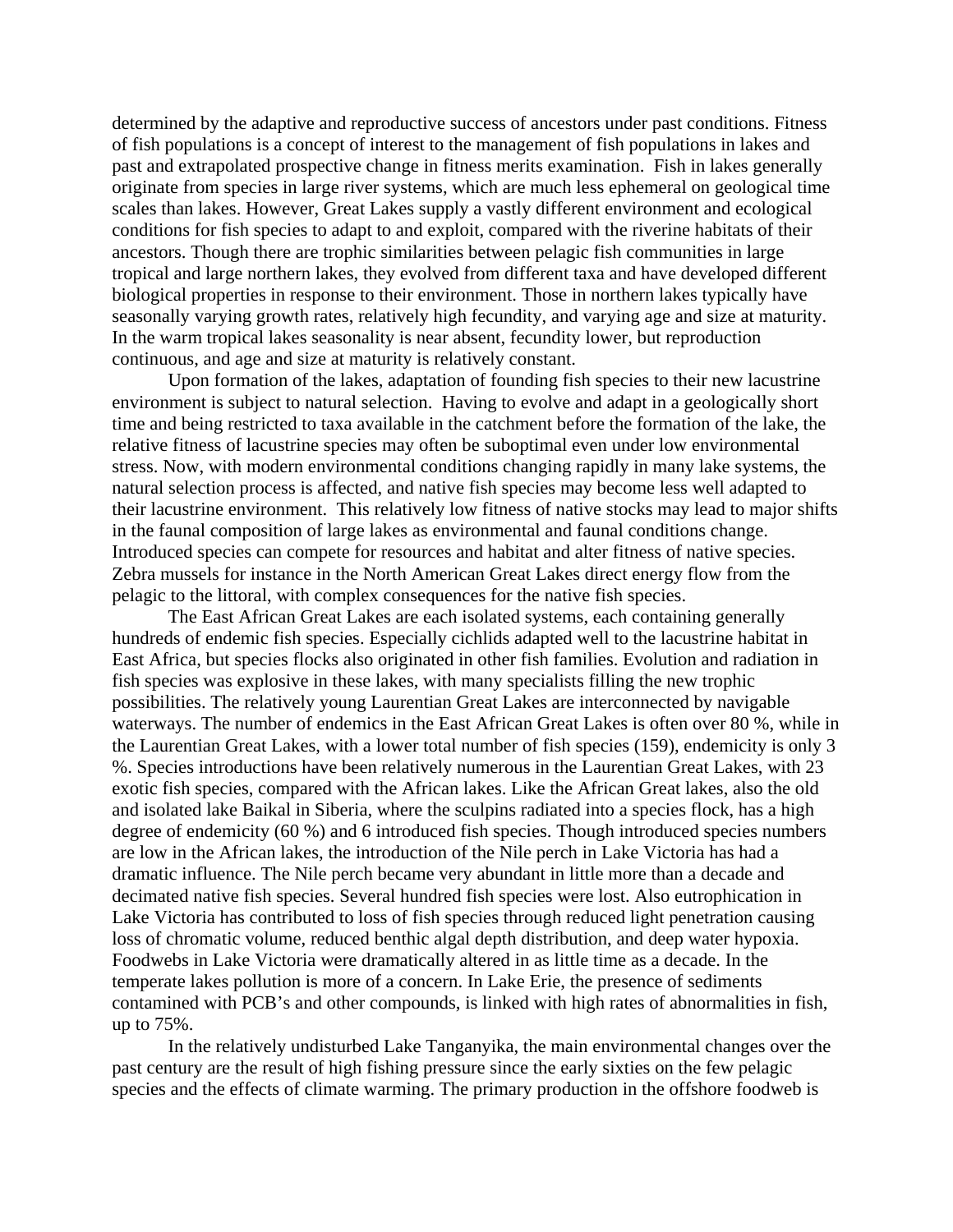determined by the adaptive and reproductive success of ancestors under past conditions. Fitness of fish populations is a concept of interest to the management of fish populations in lakes and past and extrapolated prospective change in fitness merits examination. Fish in lakes generally originate from species in large river systems, which are much less ephemeral on geological time scales than lakes. However, Great Lakes supply a vastly different environment and ecological conditions for fish species to adapt to and exploit, compared with the riverine habitats of their ancestors. Though there are trophic similarities between pelagic fish communities in large tropical and large northern lakes, they evolved from different taxa and have developed different biological properties in response to their environment. Those in northern lakes typically have seasonally varying growth rates, relatively high fecundity, and varying age and size at maturity. In the warm tropical lakes seasonality is near absent, fecundity lower, but reproduction continuous, and age and size at maturity is relatively constant.

Upon formation of the lakes, adaptation of founding fish species to their new lacustrine environment is subject to natural selection. Having to evolve and adapt in a geologically short time and being restricted to taxa available in the catchment before the formation of the lake, the relative fitness of lacustrine species may often be suboptimal even under low environmental stress. Now, with modern environmental conditions changing rapidly in many lake systems, the natural selection process is affected, and native fish species may become less well adapted to their lacustrine environment. This relatively low fitness of native stocks may lead to major shifts in the faunal composition of large lakes as environmental and faunal conditions change. Introduced species can compete for resources and habitat and alter fitness of native species. Zebra mussels for instance in the North American Great Lakes direct energy flow from the pelagic to the littoral, with complex consequences for the native fish species.

The East African Great Lakes are each isolated systems, each containing generally hundreds of endemic fish species. Especially cichlids adapted well to the lacustrine habitat in East Africa, but species flocks also originated in other fish families. Evolution and radiation in fish species was explosive in these lakes, with many specialists filling the new trophic possibilities. The relatively young Laurentian Great Lakes are interconnected by navigable waterways. The number of endemics in the East African Great Lakes is often over 80 %, while in the Laurentian Great Lakes, with a lower total number of fish species (159), endemicity is only 3 %. Species introductions have been relatively numerous in the Laurentian Great Lakes, with 23 exotic fish species, compared with the African lakes. Like the African Great lakes, also the old and isolated lake Baikal in Siberia, where the sculpins radiated into a species flock, has a high degree of endemicity (60 %) and 6 introduced fish species. Though introduced species numbers are low in the African lakes, the introduction of the Nile perch in Lake Victoria has had a dramatic influence. The Nile perch became very abundant in little more than a decade and decimated native fish species. Several hundred fish species were lost. Also eutrophication in Lake Victoria has contributed to loss of fish species through reduced light penetration causing loss of chromatic volume, reduced benthic algal depth distribution, and deep water hypoxia. Foodwebs in Lake Victoria were dramatically altered in as little time as a decade. In the temperate lakes pollution is more of a concern. In Lake Erie, the presence of sediments contamined with PCB's and other compounds, is linked with high rates of abnormalities in fish, up to 75%.

In the relatively undisturbed Lake Tanganyika, the main environmental changes over the past century are the result of high fishing pressure since the early sixties on the few pelagic species and the effects of climate warming. The primary production in the offshore foodweb is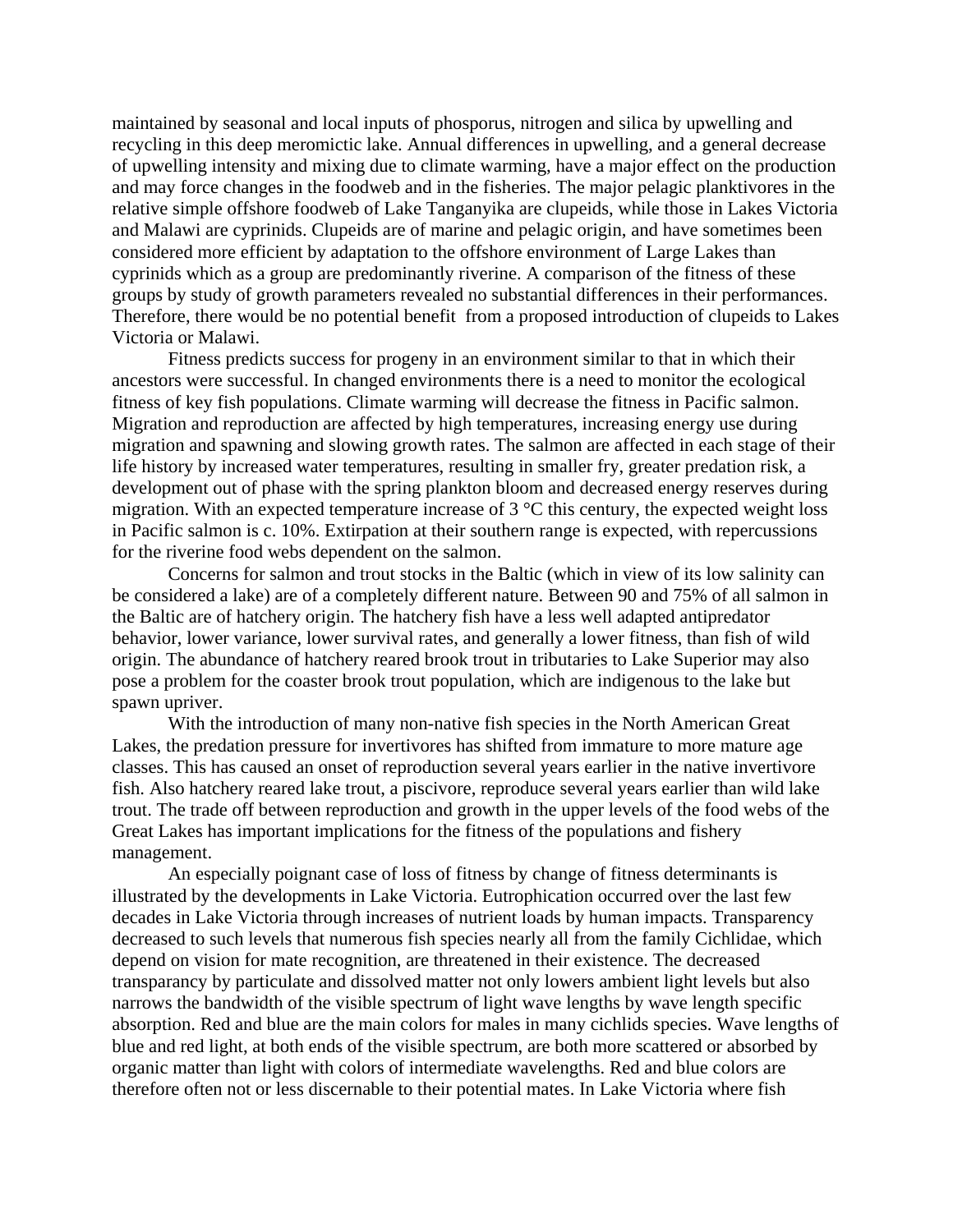maintained by seasonal and local inputs of phosporus, nitrogen and silica by upwelling and recycling in this deep meromictic lake. Annual differences in upwelling, and a general decrease of upwelling intensity and mixing due to climate warming, have a major effect on the production and may force changes in the foodweb and in the fisheries. The major pelagic planktivores in the relative simple offshore foodweb of Lake Tanganyika are clupeids, while those in Lakes Victoria and Malawi are cyprinids. Clupeids are of marine and pelagic origin, and have sometimes been considered more efficient by adaptation to the offshore environment of Large Lakes than cyprinids which as a group are predominantly riverine. A comparison of the fitness of these groups by study of growth parameters revealed no substantial differences in their performances. Therefore, there would be no potential benefit from a proposed introduction of clupeids to Lakes Victoria or Malawi.

Fitness predicts success for progeny in an environment similar to that in which their ancestors were successful. In changed environments there is a need to monitor the ecological fitness of key fish populations. Climate warming will decrease the fitness in Pacific salmon. Migration and reproduction are affected by high temperatures, increasing energy use during migration and spawning and slowing growth rates. The salmon are affected in each stage of their life history by increased water temperatures, resulting in smaller fry, greater predation risk, a development out of phase with the spring plankton bloom and decreased energy reserves during migration. With an expected temperature increase of 3 °C this century, the expected weight loss in Pacific salmon is c. 10%. Extirpation at their southern range is expected, with repercussions for the riverine food webs dependent on the salmon.

Concerns for salmon and trout stocks in the Baltic (which in view of its low salinity can be considered a lake) are of a completely different nature. Between 90 and 75% of all salmon in the Baltic are of hatchery origin. The hatchery fish have a less well adapted antipredator behavior, lower variance, lower survival rates, and generally a lower fitness, than fish of wild origin. The abundance of hatchery reared brook trout in tributaries to Lake Superior may also pose a problem for the coaster brook trout population, which are indigenous to the lake but spawn upriver.

With the introduction of many non-native fish species in the North American Great Lakes, the predation pressure for invertivores has shifted from immature to more mature age classes. This has caused an onset of reproduction several years earlier in the native invertivore fish. Also hatchery reared lake trout, a piscivore, reproduce several years earlier than wild lake trout. The trade off between reproduction and growth in the upper levels of the food webs of the Great Lakes has important implications for the fitness of the populations and fishery management.

An especially poignant case of loss of fitness by change of fitness determinants is illustrated by the developments in Lake Victoria. Eutrophication occurred over the last few decades in Lake Victoria through increases of nutrient loads by human impacts. Transparency decreased to such levels that numerous fish species nearly all from the family Cichlidae, which depend on vision for mate recognition, are threatened in their existence. The decreased transparancy by particulate and dissolved matter not only lowers ambient light levels but also narrows the bandwidth of the visible spectrum of light wave lengths by wave length specific absorption. Red and blue are the main colors for males in many cichlids species. Wave lengths of blue and red light, at both ends of the visible spectrum, are both more scattered or absorbed by organic matter than light with colors of intermediate wavelengths. Red and blue colors are therefore often not or less discernable to their potential mates. In Lake Victoria where fish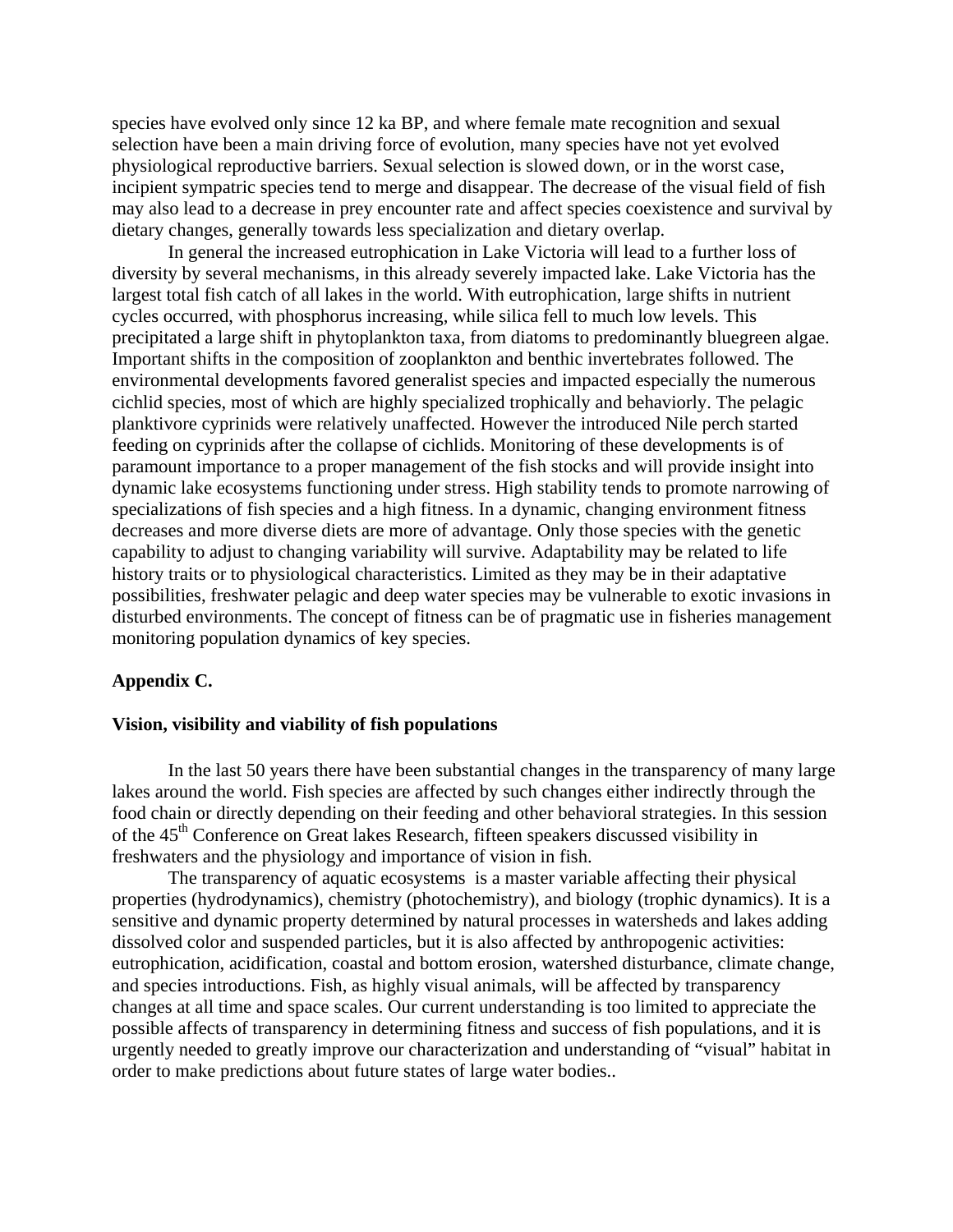species have evolved only since 12 ka BP, and where female mate recognition and sexual selection have been a main driving force of evolution, many species have not yet evolved physiological reproductive barriers. Sexual selection is slowed down, or in the worst case, incipient sympatric species tend to merge and disappear. The decrease of the visual field of fish may also lead to a decrease in prey encounter rate and affect species coexistence and survival by dietary changes, generally towards less specialization and dietary overlap.

In general the increased eutrophication in Lake Victoria will lead to a further loss of diversity by several mechanisms, in this already severely impacted lake. Lake Victoria has the largest total fish catch of all lakes in the world. With eutrophication, large shifts in nutrient cycles occurred, with phosphorus increasing, while silica fell to much low levels. This precipitated a large shift in phytoplankton taxa, from diatoms to predominantly bluegreen algae. Important shifts in the composition of zooplankton and benthic invertebrates followed. The environmental developments favored generalist species and impacted especially the numerous cichlid species, most of which are highly specialized trophically and behaviorly. The pelagic planktivore cyprinids were relatively unaffected. However the introduced Nile perch started feeding on cyprinids after the collapse of cichlids. Monitoring of these developments is of paramount importance to a proper management of the fish stocks and will provide insight into dynamic lake ecosystems functioning under stress. High stability tends to promote narrowing of specializations of fish species and a high fitness. In a dynamic, changing environment fitness decreases and more diverse diets are more of advantage. Only those species with the genetic capability to adjust to changing variability will survive. Adaptability may be related to life history traits or to physiological characteristics. Limited as they may be in their adaptative possibilities, freshwater pelagic and deep water species may be vulnerable to exotic invasions in disturbed environments. The concept of fitness can be of pragmatic use in fisheries management monitoring population dynamics of key species.

#### **Appendix C.**

#### **Vision, visibility and viability of fish populations**

In the last 50 years there have been substantial changes in the transparency of many large lakes around the world. Fish species are affected by such changes either indirectly through the food chain or directly depending on their feeding and other behavioral strategies. In this session of the 45<sup>th</sup> Conference on Great lakes Research, fifteen speakers discussed visibility in freshwaters and the physiology and importance of vision in fish.

The transparency of aquatic ecosystems is a master variable affecting their physical properties (hydrodynamics), chemistry (photochemistry), and biology (trophic dynamics). It is a sensitive and dynamic property determined by natural processes in watersheds and lakes adding dissolved color and suspended particles, but it is also affected by anthropogenic activities: eutrophication, acidification, coastal and bottom erosion, watershed disturbance, climate change, and species introductions. Fish, as highly visual animals, will be affected by transparency changes at all time and space scales. Our current understanding is too limited to appreciate the possible affects of transparency in determining fitness and success of fish populations, and it is urgently needed to greatly improve our characterization and understanding of "visual" habitat in order to make predictions about future states of large water bodies..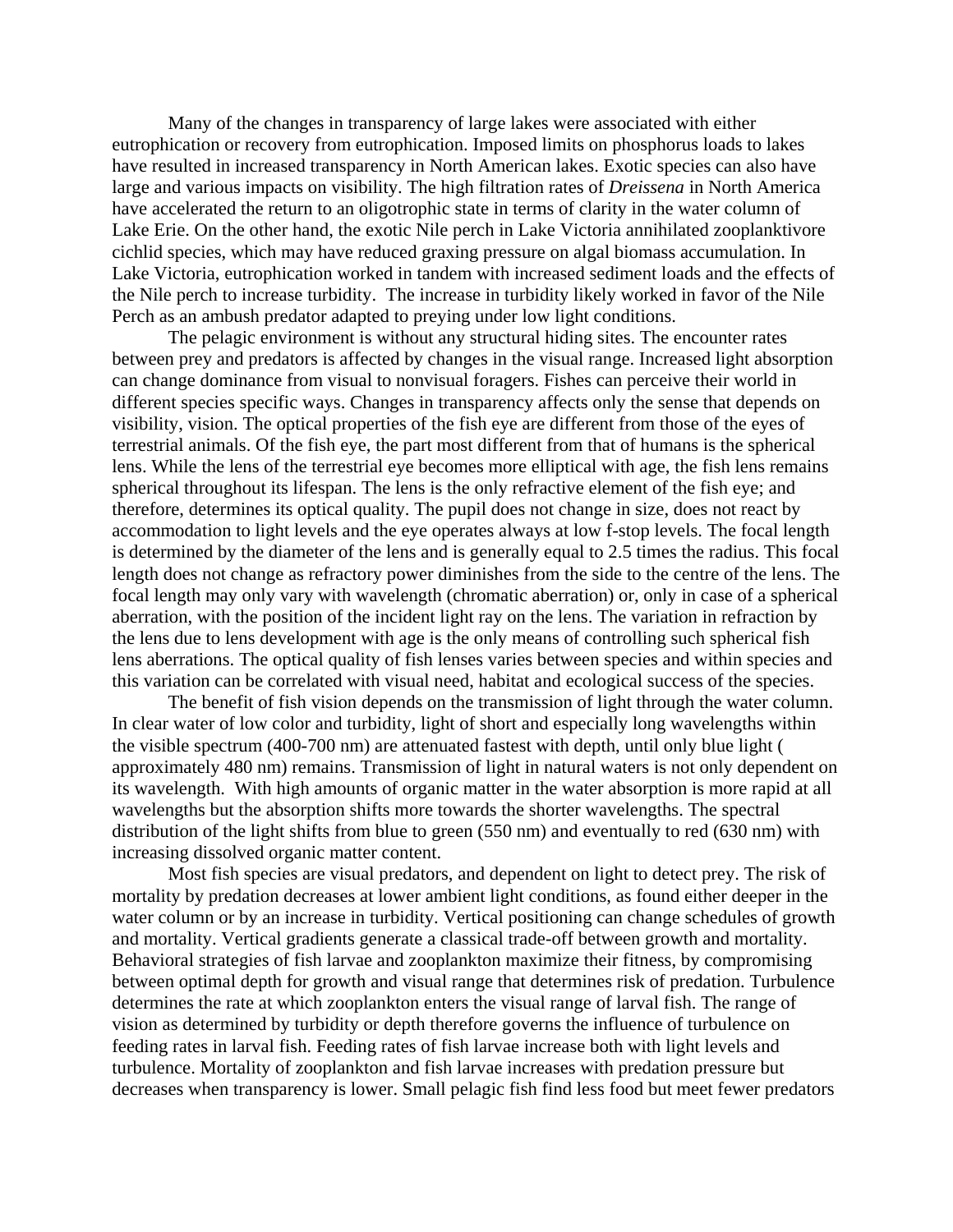Many of the changes in transparency of large lakes were associated with either eutrophication or recovery from eutrophication. Imposed limits on phosphorus loads to lakes have resulted in increased transparency in North American lakes. Exotic species can also have large and various impacts on visibility. The high filtration rates of *Dreissena* in North America have accelerated the return to an oligotrophic state in terms of clarity in the water column of Lake Erie. On the other hand, the exotic Nile perch in Lake Victoria annihilated zooplanktivore cichlid species, which may have reduced graxing pressure on algal biomass accumulation. In Lake Victoria, eutrophication worked in tandem with increased sediment loads and the effects of the Nile perch to increase turbidity. The increase in turbidity likely worked in favor of the Nile Perch as an ambush predator adapted to preying under low light conditions.

The pelagic environment is without any structural hiding sites. The encounter rates between prey and predators is affected by changes in the visual range. Increased light absorption can change dominance from visual to nonvisual foragers. Fishes can perceive their world in different species specific ways. Changes in transparency affects only the sense that depends on visibility, vision. The optical properties of the fish eye are different from those of the eyes of terrestrial animals. Of the fish eye, the part most different from that of humans is the spherical lens. While the lens of the terrestrial eye becomes more elliptical with age, the fish lens remains spherical throughout its lifespan. The lens is the only refractive element of the fish eye; and therefore, determines its optical quality. The pupil does not change in size, does not react by accommodation to light levels and the eye operates always at low f-stop levels. The focal length is determined by the diameter of the lens and is generally equal to 2.5 times the radius. This focal length does not change as refractory power diminishes from the side to the centre of the lens. The focal length may only vary with wavelength (chromatic aberration) or, only in case of a spherical aberration, with the position of the incident light ray on the lens. The variation in refraction by the lens due to lens development with age is the only means of controlling such spherical fish lens aberrations. The optical quality of fish lenses varies between species and within species and this variation can be correlated with visual need, habitat and ecological success of the species.

The benefit of fish vision depends on the transmission of light through the water column. In clear water of low color and turbidity, light of short and especially long wavelengths within the visible spectrum (400-700 nm) are attenuated fastest with depth, until only blue light ( approximately 480 nm) remains. Transmission of light in natural waters is not only dependent on its wavelength. With high amounts of organic matter in the water absorption is more rapid at all wavelengths but the absorption shifts more towards the shorter wavelengths. The spectral distribution of the light shifts from blue to green (550 nm) and eventually to red (630 nm) with increasing dissolved organic matter content.

Most fish species are visual predators, and dependent on light to detect prey. The risk of mortality by predation decreases at lower ambient light conditions, as found either deeper in the water column or by an increase in turbidity. Vertical positioning can change schedules of growth and mortality. Vertical gradients generate a classical trade-off between growth and mortality. Behavioral strategies of fish larvae and zooplankton maximize their fitness, by compromising between optimal depth for growth and visual range that determines risk of predation. Turbulence determines the rate at which zooplankton enters the visual range of larval fish. The range of vision as determined by turbidity or depth therefore governs the influence of turbulence on feeding rates in larval fish. Feeding rates of fish larvae increase both with light levels and turbulence. Mortality of zooplankton and fish larvae increases with predation pressure but decreases when transparency is lower. Small pelagic fish find less food but meet fewer predators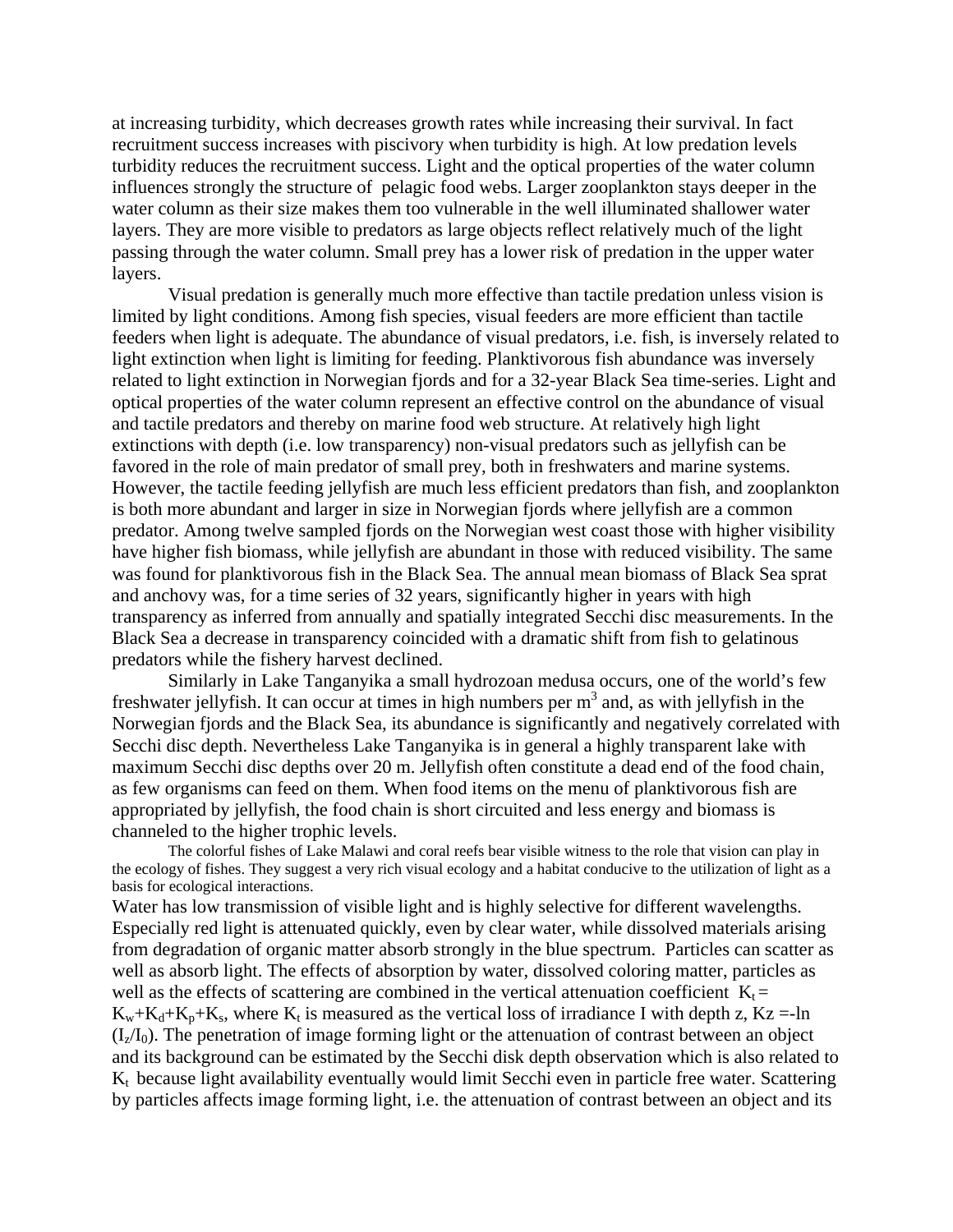at increasing turbidity, which decreases growth rates while increasing their survival. In fact recruitment success increases with piscivory when turbidity is high. At low predation levels turbidity reduces the recruitment success. Light and the optical properties of the water column influences strongly the structure of pelagic food webs. Larger zooplankton stays deeper in the water column as their size makes them too vulnerable in the well illuminated shallower water layers. They are more visible to predators as large objects reflect relatively much of the light passing through the water column. Small prey has a lower risk of predation in the upper water layers.

Visual predation is generally much more effective than tactile predation unless vision is limited by light conditions. Among fish species, visual feeders are more efficient than tactile feeders when light is adequate. The abundance of visual predators, i.e. fish, is inversely related to light extinction when light is limiting for feeding. Planktivorous fish abundance was inversely related to light extinction in Norwegian fjords and for a 32-year Black Sea time-series. Light and optical properties of the water column represent an effective control on the abundance of visual and tactile predators and thereby on marine food web structure. At relatively high light extinctions with depth (i.e. low transparency) non-visual predators such as jellyfish can be favored in the role of main predator of small prey, both in freshwaters and marine systems. However, the tactile feeding jellyfish are much less efficient predators than fish, and zooplankton is both more abundant and larger in size in Norwegian fjords where jellyfish are a common predator. Among twelve sampled fjords on the Norwegian west coast those with higher visibility have higher fish biomass, while jellyfish are abundant in those with reduced visibility. The same was found for planktivorous fish in the Black Sea. The annual mean biomass of Black Sea sprat and anchovy was, for a time series of 32 years, significantly higher in years with high transparency as inferred from annually and spatially integrated Secchi disc measurements. In the Black Sea a decrease in transparency coincided with a dramatic shift from fish to gelatinous predators while the fishery harvest declined.

 Similarly in Lake Tanganyika a small hydrozoan medusa occurs, one of the world's few freshwater jellyfish. It can occur at times in high numbers per  $m<sup>3</sup>$  and, as with jellyfish in the Norwegian fjords and the Black Sea, its abundance is significantly and negatively correlated with Secchi disc depth. Nevertheless Lake Tanganyika is in general a highly transparent lake with maximum Secchi disc depths over 20 m. Jellyfish often constitute a dead end of the food chain, as few organisms can feed on them. When food items on the menu of planktivorous fish are appropriated by jellyfish, the food chain is short circuited and less energy and biomass is channeled to the higher trophic levels.

The colorful fishes of Lake Malawi and coral reefs bear visible witness to the role that vision can play in the ecology of fishes. They suggest a very rich visual ecology and a habitat conducive to the utilization of light as a basis for ecological interactions.

Water has low transmission of visible light and is highly selective for different wavelengths. Especially red light is attenuated quickly, even by clear water, while dissolved materials arising from degradation of organic matter absorb strongly in the blue spectrum. Particles can scatter as well as absorb light. The effects of absorption by water, dissolved coloring matter, particles as well as the effects of scattering are combined in the vertical attenuation coefficient  $K_t =$  $K_w+K_d+K_p+K_s$ , where  $K_t$  is measured as the vertical loss of irradiance I with depth z,  $K_z = -\ln \frac{1}{2}$  $(I_7/I_0)$ . The penetration of image forming light or the attenuation of contrast between an object and its background can be estimated by the Secchi disk depth observation which is also related to  $K_t$  because light availability eventually would limit Secchi even in particle free water. Scattering by particles affects image forming light, i.e. the attenuation of contrast between an object and its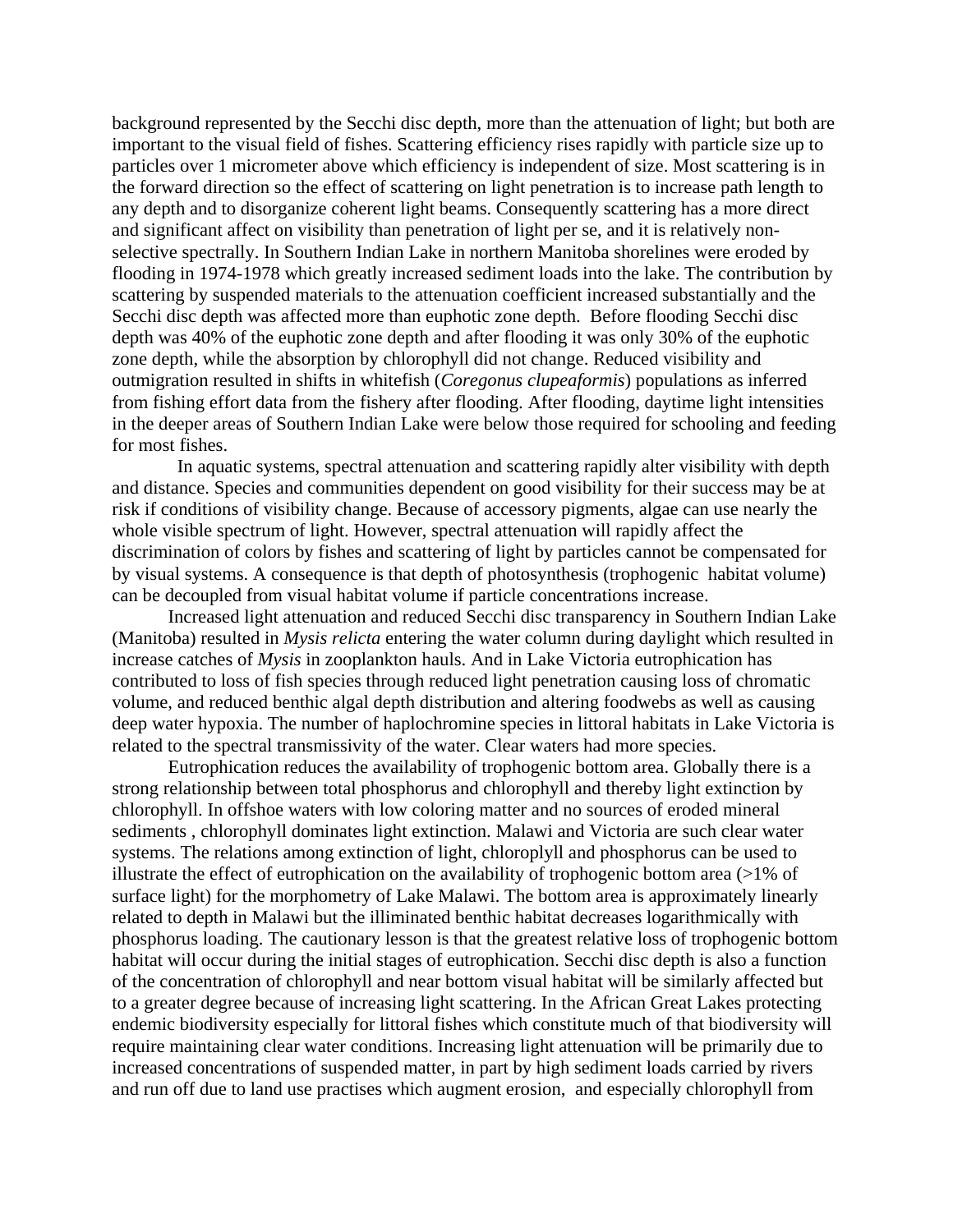background represented by the Secchi disc depth, more than the attenuation of light; but both are important to the visual field of fishes. Scattering efficiency rises rapidly with particle size up to particles over 1 micrometer above which efficiency is independent of size. Most scattering is in the forward direction so the effect of scattering on light penetration is to increase path length to any depth and to disorganize coherent light beams. Consequently scattering has a more direct and significant affect on visibility than penetration of light per se, and it is relatively nonselective spectrally. In Southern Indian Lake in northern Manitoba shorelines were eroded by flooding in 1974-1978 which greatly increased sediment loads into the lake. The contribution by scattering by suspended materials to the attenuation coefficient increased substantially and the Secchi disc depth was affected more than euphotic zone depth. Before flooding Secchi disc depth was 40% of the euphotic zone depth and after flooding it was only 30% of the euphotic zone depth, while the absorption by chlorophyll did not change. Reduced visibility and outmigration resulted in shifts in whitefish (*Coregonus clupeaformis*) populations as inferred from fishing effort data from the fishery after flooding. After flooding, daytime light intensities in the deeper areas of Southern Indian Lake were below those required for schooling and feeding for most fishes.

 In aquatic systems, spectral attenuation and scattering rapidly alter visibility with depth and distance. Species and communities dependent on good visibility for their success may be at risk if conditions of visibility change. Because of accessory pigments, algae can use nearly the whole visible spectrum of light. However, spectral attenuation will rapidly affect the discrimination of colors by fishes and scattering of light by particles cannot be compensated for by visual systems. A consequence is that depth of photosynthesis (trophogenic habitat volume) can be decoupled from visual habitat volume if particle concentrations increase.

Increased light attenuation and reduced Secchi disc transparency in Southern Indian Lake (Manitoba) resulted in *Mysis relicta* entering the water column during daylight which resulted in increase catches of *Mysis* in zooplankton hauls. And in Lake Victoria eutrophication has contributed to loss of fish species through reduced light penetration causing loss of chromatic volume, and reduced benthic algal depth distribution and altering foodwebs as well as causing deep water hypoxia. The number of haplochromine species in littoral habitats in Lake Victoria is related to the spectral transmissivity of the water. Clear waters had more species.

Eutrophication reduces the availability of trophogenic bottom area. Globally there is a strong relationship between total phosphorus and chlorophyll and thereby light extinction by chlorophyll. In offshoe waters with low coloring matter and no sources of eroded mineral sediments , chlorophyll dominates light extinction. Malawi and Victoria are such clear water systems. The relations among extinction of light, chloroplyll and phosphorus can be used to illustrate the effect of eutrophication on the availability of trophogenic bottom area  $(>1\%$  of surface light) for the morphometry of Lake Malawi. The bottom area is approximately linearly related to depth in Malawi but the illiminated benthic habitat decreases logarithmically with phosphorus loading. The cautionary lesson is that the greatest relative loss of trophogenic bottom habitat will occur during the initial stages of eutrophication. Secchi disc depth is also a function of the concentration of chlorophyll and near bottom visual habitat will be similarly affected but to a greater degree because of increasing light scattering. In the African Great Lakes protecting endemic biodiversity especially for littoral fishes which constitute much of that biodiversity will require maintaining clear water conditions. Increasing light attenuation will be primarily due to increased concentrations of suspended matter, in part by high sediment loads carried by rivers and run off due to land use practises which augment erosion, and especially chlorophyll from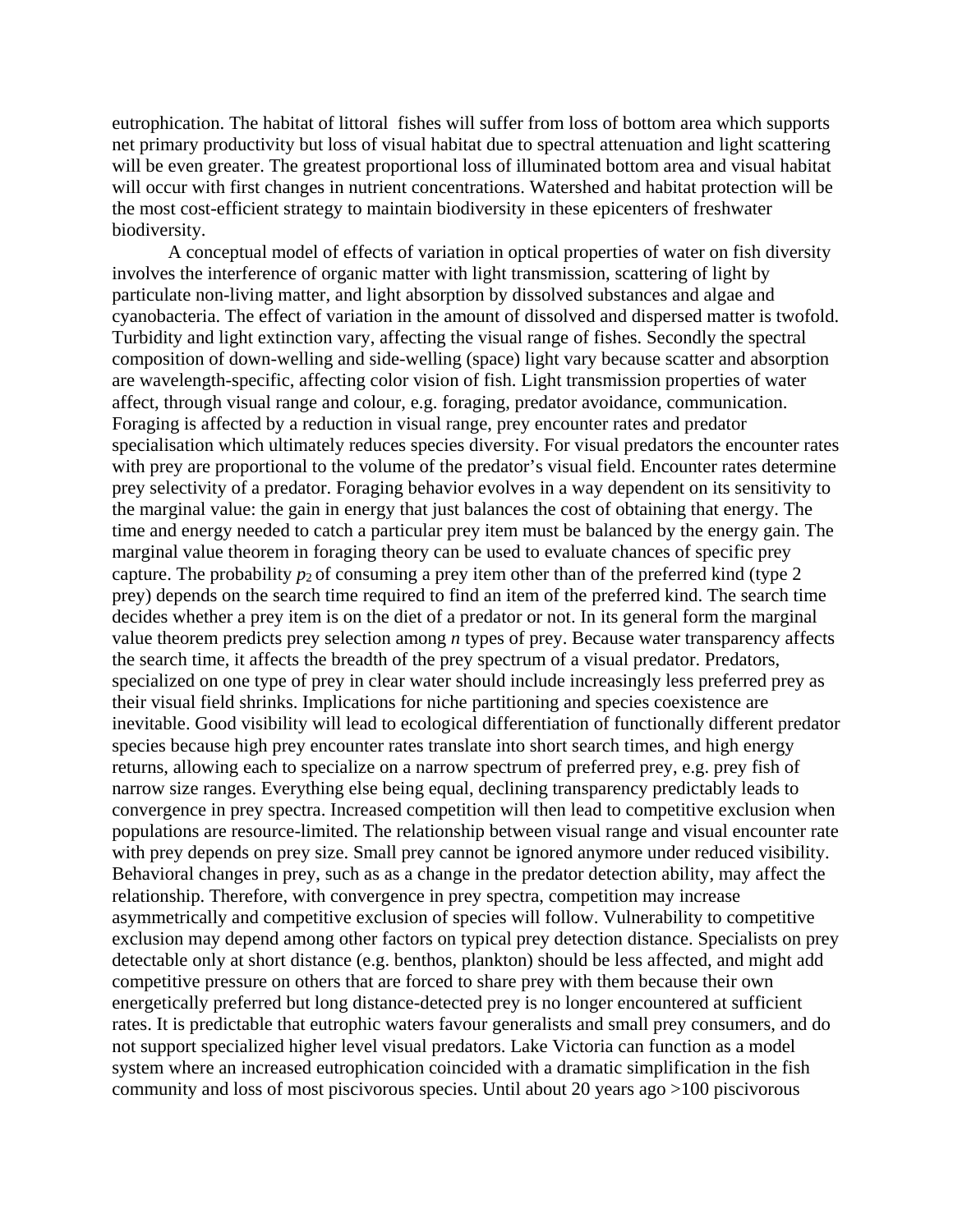eutrophication. The habitat of littoral fishes will suffer from loss of bottom area which supports net primary productivity but loss of visual habitat due to spectral attenuation and light scattering will be even greater. The greatest proportional loss of illuminated bottom area and visual habitat will occur with first changes in nutrient concentrations. Watershed and habitat protection will be the most cost-efficient strategy to maintain biodiversity in these epicenters of freshwater biodiversity.

A conceptual model of effects of variation in optical properties of water on fish diversity involves the interference of organic matter with light transmission, scattering of light by particulate non-living matter, and light absorption by dissolved substances and algae and cyanobacteria. The effect of variation in the amount of dissolved and dispersed matter is twofold. Turbidity and light extinction vary, affecting the visual range of fishes. Secondly the spectral composition of down-welling and side-welling (space) light vary because scatter and absorption are wavelength-specific, affecting color vision of fish. Light transmission properties of water affect, through visual range and colour, e.g. foraging, predator avoidance, communication. Foraging is affected by a reduction in visual range, prey encounter rates and predator specialisation which ultimately reduces species diversity. For visual predators the encounter rates with prey are proportional to the volume of the predator's visual field. Encounter rates determine prey selectivity of a predator. Foraging behavior evolves in a way dependent on its sensitivity to the marginal value: the gain in energy that just balances the cost of obtaining that energy. The time and energy needed to catch a particular prey item must be balanced by the energy gain. The marginal value theorem in foraging theory can be used to evaluate chances of specific prey capture. The probability  $p_2$  of consuming a prey item other than of the preferred kind (type 2) prey) depends on the search time required to find an item of the preferred kind. The search time decides whether a prey item is on the diet of a predator or not. In its general form the marginal value theorem predicts prey selection among *n* types of prey. Because water transparency affects the search time, it affects the breadth of the prey spectrum of a visual predator. Predators, specialized on one type of prey in clear water should include increasingly less preferred prey as their visual field shrinks. Implications for niche partitioning and species coexistence are inevitable. Good visibility will lead to ecological differentiation of functionally different predator species because high prey encounter rates translate into short search times, and high energy returns, allowing each to specialize on a narrow spectrum of preferred prey, e.g. prey fish of narrow size ranges. Everything else being equal, declining transparency predictably leads to convergence in prey spectra. Increased competition will then lead to competitive exclusion when populations are resource-limited. The relationship between visual range and visual encounter rate with prey depends on prey size. Small prey cannot be ignored anymore under reduced visibility. Behavioral changes in prey, such as as a change in the predator detection ability, may affect the relationship. Therefore, with convergence in prey spectra, competition may increase asymmetrically and competitive exclusion of species will follow. Vulnerability to competitive exclusion may depend among other factors on typical prey detection distance. Specialists on prey detectable only at short distance (e.g. benthos, plankton) should be less affected, and might add competitive pressure on others that are forced to share prey with them because their own energetically preferred but long distance-detected prey is no longer encountered at sufficient rates. It is predictable that eutrophic waters favour generalists and small prey consumers, and do not support specialized higher level visual predators. Lake Victoria can function as a model system where an increased eutrophication coincided with a dramatic simplification in the fish community and loss of most piscivorous species. Until about 20 years ago >100 piscivorous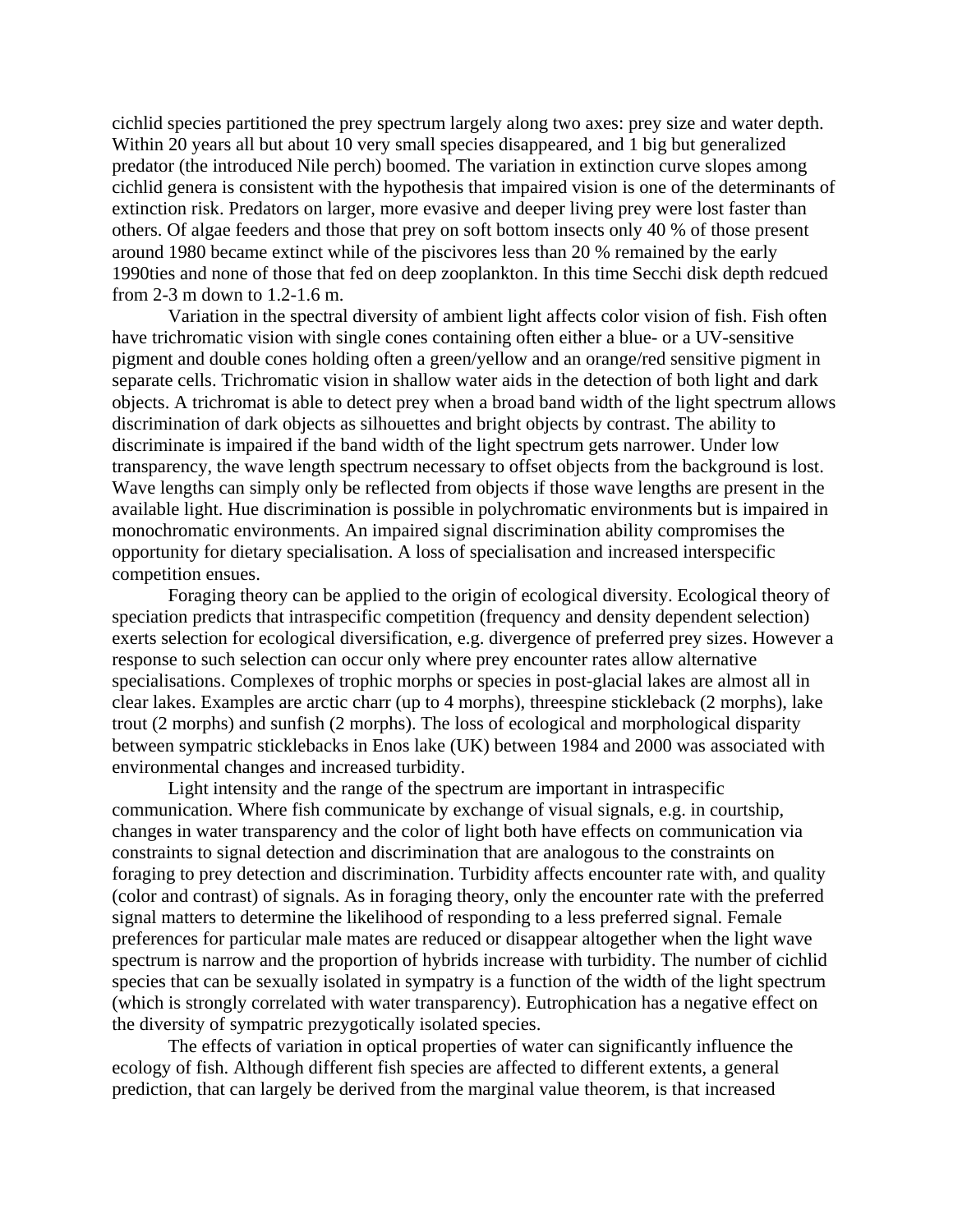cichlid species partitioned the prey spectrum largely along two axes: prey size and water depth. Within 20 years all but about 10 very small species disappeared, and 1 big but generalized predator (the introduced Nile perch) boomed. The variation in extinction curve slopes among cichlid genera is consistent with the hypothesis that impaired vision is one of the determinants of extinction risk. Predators on larger, more evasive and deeper living prey were lost faster than others. Of algae feeders and those that prey on soft bottom insects only 40 % of those present around 1980 became extinct while of the piscivores less than 20 % remained by the early 1990ties and none of those that fed on deep zooplankton. In this time Secchi disk depth redcued from 2-3 m down to 1.2-1.6 m.

Variation in the spectral diversity of ambient light affects color vision of fish. Fish often have trichromatic vision with single cones containing often either a blue- or a UV-sensitive pigment and double cones holding often a green/yellow and an orange/red sensitive pigment in separate cells. Trichromatic vision in shallow water aids in the detection of both light and dark objects. A trichromat is able to detect prey when a broad band width of the light spectrum allows discrimination of dark objects as silhouettes and bright objects by contrast. The ability to discriminate is impaired if the band width of the light spectrum gets narrower. Under low transparency, the wave length spectrum necessary to offset objects from the background is lost. Wave lengths can simply only be reflected from objects if those wave lengths are present in the available light. Hue discrimination is possible in polychromatic environments but is impaired in monochromatic environments. An impaired signal discrimination ability compromises the opportunity for dietary specialisation. A loss of specialisation and increased interspecific competition ensues.

Foraging theory can be applied to the origin of ecological diversity. Ecological theory of speciation predicts that intraspecific competition (frequency and density dependent selection) exerts selection for ecological diversification, e.g. divergence of preferred prey sizes. However a response to such selection can occur only where prey encounter rates allow alternative specialisations. Complexes of trophic morphs or species in post-glacial lakes are almost all in clear lakes. Examples are arctic charr (up to 4 morphs), threespine stickleback (2 morphs), lake trout (2 morphs) and sunfish (2 morphs). The loss of ecological and morphological disparity between sympatric sticklebacks in Enos lake (UK) between 1984 and 2000 was associated with environmental changes and increased turbidity.

Light intensity and the range of the spectrum are important in intraspecific communication. Where fish communicate by exchange of visual signals, e.g. in courtship, changes in water transparency and the color of light both have effects on communication via constraints to signal detection and discrimination that are analogous to the constraints on foraging to prey detection and discrimination. Turbidity affects encounter rate with, and quality (color and contrast) of signals. As in foraging theory, only the encounter rate with the preferred signal matters to determine the likelihood of responding to a less preferred signal. Female preferences for particular male mates are reduced or disappear altogether when the light wave spectrum is narrow and the proportion of hybrids increase with turbidity. The number of cichlid species that can be sexually isolated in sympatry is a function of the width of the light spectrum (which is strongly correlated with water transparency). Eutrophication has a negative effect on the diversity of sympatric prezygotically isolated species.

The effects of variation in optical properties of water can significantly influence the ecology of fish. Although different fish species are affected to different extents, a general prediction, that can largely be derived from the marginal value theorem, is that increased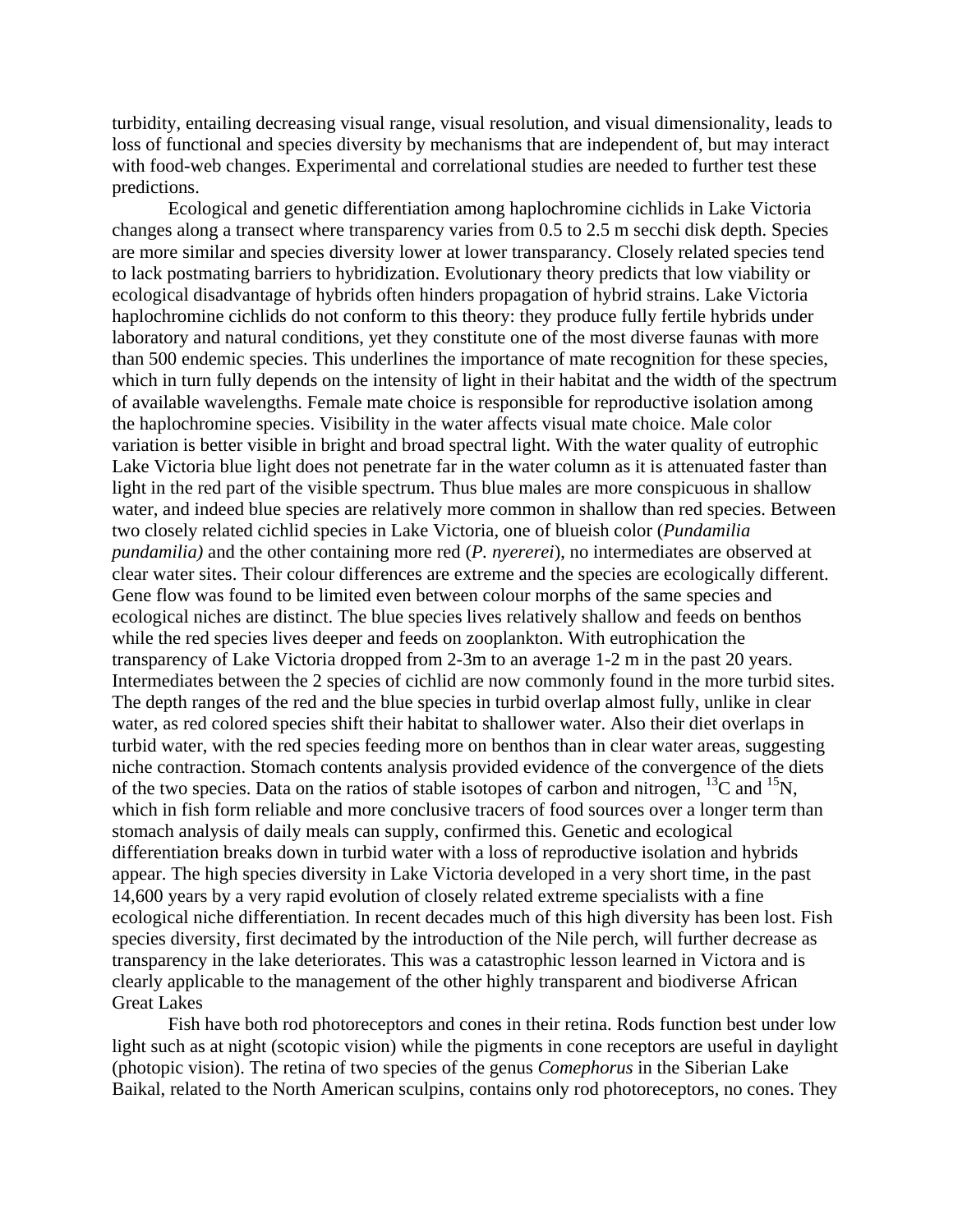turbidity, entailing decreasing visual range, visual resolution, and visual dimensionality, leads to loss of functional and species diversity by mechanisms that are independent of, but may interact with food-web changes. Experimental and correlational studies are needed to further test these predictions.

Ecological and genetic differentiation among haplochromine cichlids in Lake Victoria changes along a transect where transparency varies from 0.5 to 2.5 m secchi disk depth. Species are more similar and species diversity lower at lower transparancy. Closely related species tend to lack postmating barriers to hybridization. Evolutionary theory predicts that low viability or ecological disadvantage of hybrids often hinders propagation of hybrid strains. Lake Victoria haplochromine cichlids do not conform to this theory: they produce fully fertile hybrids under laboratory and natural conditions, yet they constitute one of the most diverse faunas with more than 500 endemic species. This underlines the importance of mate recognition for these species, which in turn fully depends on the intensity of light in their habitat and the width of the spectrum of available wavelengths. Female mate choice is responsible for reproductive isolation among the haplochromine species. Visibility in the water affects visual mate choice. Male color variation is better visible in bright and broad spectral light. With the water quality of eutrophic Lake Victoria blue light does not penetrate far in the water column as it is attenuated faster than light in the red part of the visible spectrum. Thus blue males are more conspicuous in shallow water, and indeed blue species are relatively more common in shallow than red species. Between two closely related cichlid species in Lake Victoria, one of blueish color (*Pundamilia pundamilia)* and the other containing more red (*P. nyererei*), no intermediates are observed at clear water sites. Their colour differences are extreme and the species are ecologically different. Gene flow was found to be limited even between colour morphs of the same species and ecological niches are distinct. The blue species lives relatively shallow and feeds on benthos while the red species lives deeper and feeds on zooplankton. With eutrophication the transparency of Lake Victoria dropped from 2-3m to an average 1-2 m in the past 20 years. Intermediates between the 2 species of cichlid are now commonly found in the more turbid sites. The depth ranges of the red and the blue species in turbid overlap almost fully, unlike in clear water, as red colored species shift their habitat to shallower water. Also their diet overlaps in turbid water, with the red species feeding more on benthos than in clear water areas, suggesting niche contraction. Stomach contents analysis provided evidence of the convergence of the diets of the two species. Data on the ratios of stable isotopes of carbon and nitrogen,  $^{13}$ C and  $^{15}$ N, which in fish form reliable and more conclusive tracers of food sources over a longer term than stomach analysis of daily meals can supply, confirmed this. Genetic and ecological differentiation breaks down in turbid water with a loss of reproductive isolation and hybrids appear. The high species diversity in Lake Victoria developed in a very short time, in the past 14,600 years by a very rapid evolution of closely related extreme specialists with a fine ecological niche differentiation. In recent decades much of this high diversity has been lost. Fish species diversity, first decimated by the introduction of the Nile perch, will further decrease as transparency in the lake deteriorates. This was a catastrophic lesson learned in Victora and is clearly applicable to the management of the other highly transparent and biodiverse African Great Lakes

Fish have both rod photoreceptors and cones in their retina. Rods function best under low light such as at night (scotopic vision) while the pigments in cone receptors are useful in daylight (photopic vision). The retina of two species of the genus *Comephorus* in the Siberian Lake Baikal, related to the North American sculpins, contains only rod photoreceptors, no cones. They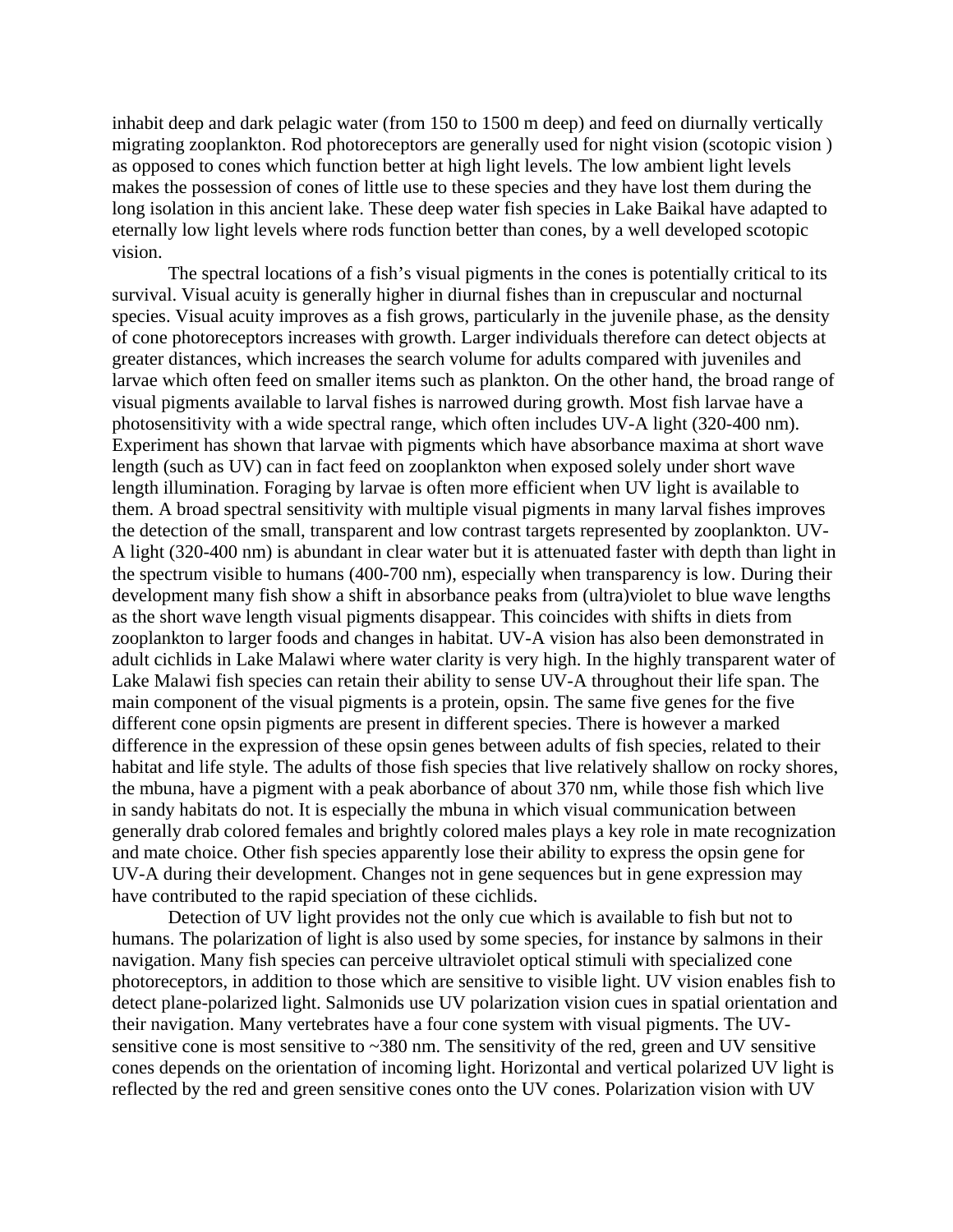inhabit deep and dark pelagic water (from 150 to 1500 m deep) and feed on diurnally vertically migrating zooplankton. Rod photoreceptors are generally used for night vision (scotopic vision ) as opposed to cones which function better at high light levels. The low ambient light levels makes the possession of cones of little use to these species and they have lost them during the long isolation in this ancient lake. These deep water fish species in Lake Baikal have adapted to eternally low light levels where rods function better than cones, by a well developed scotopic vision.

The spectral locations of a fish's visual pigments in the cones is potentially critical to its survival. Visual acuity is generally higher in diurnal fishes than in crepuscular and nocturnal species. Visual acuity improves as a fish grows, particularly in the juvenile phase, as the density of cone photoreceptors increases with growth. Larger individuals therefore can detect objects at greater distances, which increases the search volume for adults compared with juveniles and larvae which often feed on smaller items such as plankton. On the other hand, the broad range of visual pigments available to larval fishes is narrowed during growth. Most fish larvae have a photosensitivity with a wide spectral range, which often includes UV-A light (320-400 nm). Experiment has shown that larvae with pigments which have absorbance maxima at short wave length (such as UV) can in fact feed on zooplankton when exposed solely under short wave length illumination. Foraging by larvae is often more efficient when UV light is available to them. A broad spectral sensitivity with multiple visual pigments in many larval fishes improves the detection of the small, transparent and low contrast targets represented by zooplankton. UV-A light (320-400 nm) is abundant in clear water but it is attenuated faster with depth than light in the spectrum visible to humans (400-700 nm), especially when transparency is low. During their development many fish show a shift in absorbance peaks from (ultra)violet to blue wave lengths as the short wave length visual pigments disappear. This coincides with shifts in diets from zooplankton to larger foods and changes in habitat. UV-A vision has also been demonstrated in adult cichlids in Lake Malawi where water clarity is very high. In the highly transparent water of Lake Malawi fish species can retain their ability to sense UV-A throughout their life span. The main component of the visual pigments is a protein, opsin. The same five genes for the five different cone opsin pigments are present in different species. There is however a marked difference in the expression of these opsin genes between adults of fish species, related to their habitat and life style. The adults of those fish species that live relatively shallow on rocky shores, the mbuna, have a pigment with a peak aborbance of about 370 nm, while those fish which live in sandy habitats do not. It is especially the mbuna in which visual communication between generally drab colored females and brightly colored males plays a key role in mate recognization and mate choice. Other fish species apparently lose their ability to express the opsin gene for UV-A during their development. Changes not in gene sequences but in gene expression may have contributed to the rapid speciation of these cichlids.

Detection of UV light provides not the only cue which is available to fish but not to humans. The polarization of light is also used by some species, for instance by salmons in their navigation. Many fish species can perceive ultraviolet optical stimuli with specialized cone photoreceptors, in addition to those which are sensitive to visible light. UV vision enables fish to detect plane-polarized light. Salmonids use UV polarization vision cues in spatial orientation and their navigation. Many vertebrates have a four cone system with visual pigments. The UVsensitive cone is most sensitive to ~380 nm. The sensitivity of the red, green and UV sensitive cones depends on the orientation of incoming light. Horizontal and vertical polarized UV light is reflected by the red and green sensitive cones onto the UV cones. Polarization vision with UV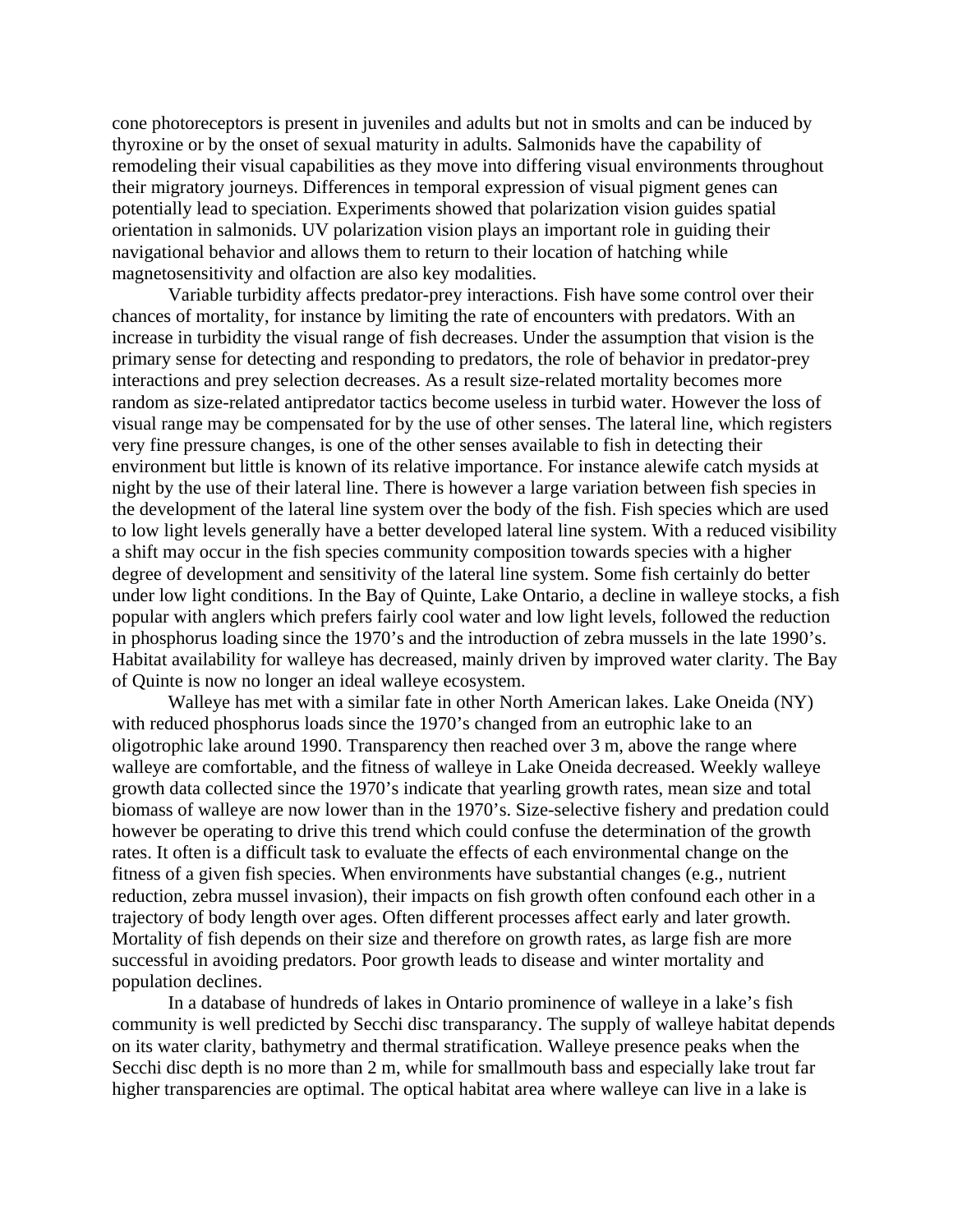cone photoreceptors is present in juveniles and adults but not in smolts and can be induced by thyroxine or by the onset of sexual maturity in adults. Salmonids have the capability of remodeling their visual capabilities as they move into differing visual environments throughout their migratory journeys. Differences in temporal expression of visual pigment genes can potentially lead to speciation. Experiments showed that polarization vision guides spatial orientation in salmonids. UV polarization vision plays an important role in guiding their navigational behavior and allows them to return to their location of hatching while magnetosensitivity and olfaction are also key modalities.

Variable turbidity affects predator-prey interactions. Fish have some control over their chances of mortality, for instance by limiting the rate of encounters with predators. With an increase in turbidity the visual range of fish decreases. Under the assumption that vision is the primary sense for detecting and responding to predators, the role of behavior in predator-prey interactions and prey selection decreases. As a result size-related mortality becomes more random as size-related antipredator tactics become useless in turbid water. However the loss of visual range may be compensated for by the use of other senses. The lateral line, which registers very fine pressure changes, is one of the other senses available to fish in detecting their environment but little is known of its relative importance. For instance alewife catch mysids at night by the use of their lateral line. There is however a large variation between fish species in the development of the lateral line system over the body of the fish. Fish species which are used to low light levels generally have a better developed lateral line system. With a reduced visibility a shift may occur in the fish species community composition towards species with a higher degree of development and sensitivity of the lateral line system. Some fish certainly do better under low light conditions. In the Bay of Quinte, Lake Ontario, a decline in walleye stocks, a fish popular with anglers which prefers fairly cool water and low light levels, followed the reduction in phosphorus loading since the 1970's and the introduction of zebra mussels in the late 1990's. Habitat availability for walleye has decreased, mainly driven by improved water clarity. The Bay of Quinte is now no longer an ideal walleye ecosystem.

Walleye has met with a similar fate in other North American lakes. Lake Oneida (NY) with reduced phosphorus loads since the 1970's changed from an eutrophic lake to an oligotrophic lake around 1990. Transparency then reached over 3 m, above the range where walleye are comfortable, and the fitness of walleye in Lake Oneida decreased. Weekly walleye growth data collected since the 1970's indicate that yearling growth rates, mean size and total biomass of walleye are now lower than in the 1970's. Size-selective fishery and predation could however be operating to drive this trend which could confuse the determination of the growth rates. It often is a difficult task to evaluate the effects of each environmental change on the fitness of a given fish species. When environments have substantial changes (e.g., nutrient reduction, zebra mussel invasion), their impacts on fish growth often confound each other in a trajectory of body length over ages. Often different processes affect early and later growth. Mortality of fish depends on their size and therefore on growth rates, as large fish are more successful in avoiding predators. Poor growth leads to disease and winter mortality and population declines.

In a database of hundreds of lakes in Ontario prominence of walleye in a lake's fish community is well predicted by Secchi disc transparancy. The supply of walleye habitat depends on its water clarity, bathymetry and thermal stratification. Walleye presence peaks when the Secchi disc depth is no more than 2 m, while for smallmouth bass and especially lake trout far higher transparencies are optimal. The optical habitat area where walleye can live in a lake is